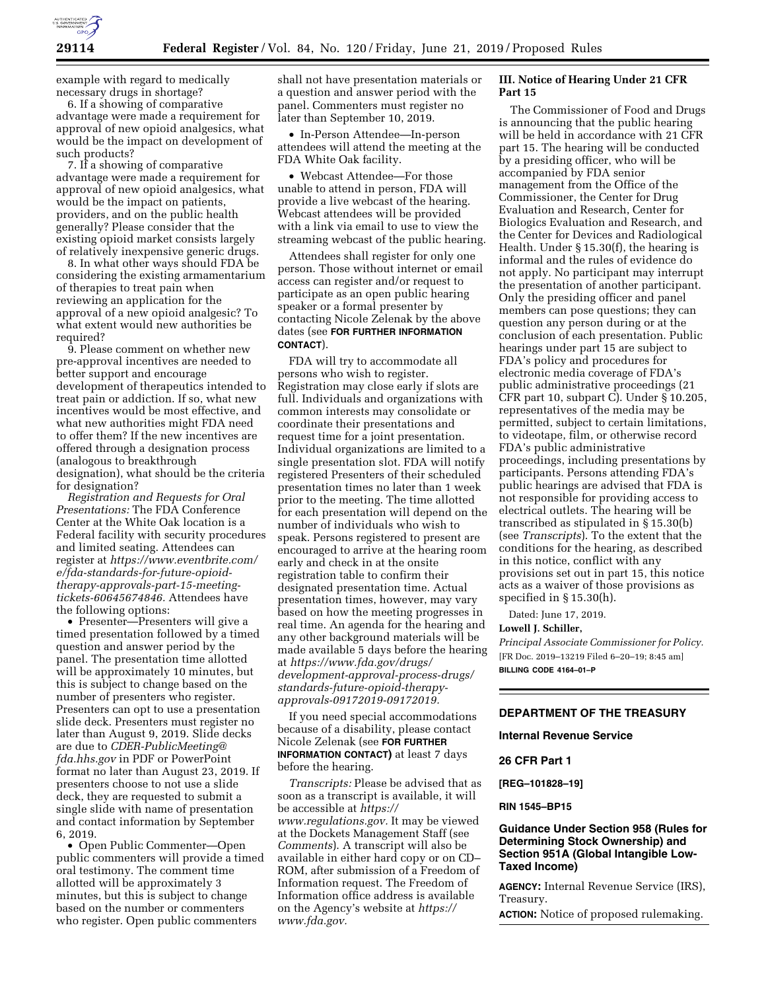

example with regard to medically necessary drugs in shortage?

6. If a showing of comparative advantage were made a requirement for approval of new opioid analgesics, what would be the impact on development of such products?

7. If a showing of comparative advantage were made a requirement for approval of new opioid analgesics, what would be the impact on patients, providers, and on the public health generally? Please consider that the existing opioid market consists largely of relatively inexpensive generic drugs.

8. In what other ways should FDA be considering the existing armamentarium of therapies to treat pain when reviewing an application for the approval of a new opioid analgesic? To what extent would new authorities be required?

9. Please comment on whether new pre-approval incentives are needed to better support and encourage development of therapeutics intended to treat pain or addiction. If so, what new incentives would be most effective, and what new authorities might FDA need to offer them? If the new incentives are offered through a designation process (analogous to breakthrough designation), what should be the criteria for designation?

*Registration and Requests for Oral Presentations:* The FDA Conference Center at the White Oak location is a Federal facility with security procedures and limited seating. Attendees can register at *[https://www.eventbrite.com/](https://www.eventbrite.com/e/fda-standards-for-future-opioid-therapy-approvals-part-15-meeting-tickets-60645674846)  [e/fda-standards-for-future-opioid](https://www.eventbrite.com/e/fda-standards-for-future-opioid-therapy-approvals-part-15-meeting-tickets-60645674846)[therapy-approvals-part-15-meeting](https://www.eventbrite.com/e/fda-standards-for-future-opioid-therapy-approvals-part-15-meeting-tickets-60645674846)[tickets-60645674846.](https://www.eventbrite.com/e/fda-standards-for-future-opioid-therapy-approvals-part-15-meeting-tickets-60645674846)* Attendees have the following options:

• Presenter—Presenters will give a timed presentation followed by a timed question and answer period by the panel. The presentation time allotted will be approximately 10 minutes, but this is subject to change based on the number of presenters who register. Presenters can opt to use a presentation slide deck. Presenters must register no later than August 9, 2019. Slide decks are due to *[CDER-PublicMeeting@](mailto:CDER-PublicMeeting@fda.hhs.gov) [fda.hhs.gov](mailto:CDER-PublicMeeting@fda.hhs.gov)* in PDF or PowerPoint format no later than August 23, 2019. If presenters choose to not use a slide deck, they are requested to submit a single slide with name of presentation and contact information by September 6, 2019.

• Open Public Commenter—Open public commenters will provide a timed oral testimony. The comment time allotted will be approximately 3 minutes, but this is subject to change based on the number or commenters who register. Open public commenters

shall not have presentation materials or a question and answer period with the panel. Commenters must register no later than September 10, 2019.

• In-Person Attendee—In-person attendees will attend the meeting at the FDA White Oak facility.

• Webcast Attendee—For those unable to attend in person, FDA will provide a live webcast of the hearing. Webcast attendees will be provided with a link via email to use to view the streaming webcast of the public hearing.

Attendees shall register for only one person. Those without internet or email access can register and/or request to participate as an open public hearing speaker or a formal presenter by contacting Nicole Zelenak by the above dates (see **FOR FURTHER INFORMATION CONTACT**).

FDA will try to accommodate all persons who wish to register. Registration may close early if slots are full. Individuals and organizations with common interests may consolidate or coordinate their presentations and request time for a joint presentation. Individual organizations are limited to a single presentation slot. FDA will notify registered Presenters of their scheduled presentation times no later than 1 week prior to the meeting. The time allotted for each presentation will depend on the number of individuals who wish to speak. Persons registered to present are encouraged to arrive at the hearing room early and check in at the onsite registration table to confirm their designated presentation time. Actual presentation times, however, may vary based on how the meeting progresses in real time. An agenda for the hearing and any other background materials will be made available 5 days before the hearing at *[https://www.fda.gov/drugs/](https://www.fda.gov/drugs/development-approval-process-drugs/standards-future-opioid-therapy-approvals-09172019-09172019)  [development-approval-process-drugs/](https://www.fda.gov/drugs/development-approval-process-drugs/standards-future-opioid-therapy-approvals-09172019-09172019) [standards-future-opioid-therapy](https://www.fda.gov/drugs/development-approval-process-drugs/standards-future-opioid-therapy-approvals-09172019-09172019)[approvals-09172019-09172019.](https://www.fda.gov/drugs/development-approval-process-drugs/standards-future-opioid-therapy-approvals-09172019-09172019)* 

If you need special accommodations because of a disability, please contact Nicole Zelenak (see **FOR FURTHER INFORMATION CONTACT)** at least 7 days before the hearing.

*Transcripts:* Please be advised that as soon as a transcript is available, it will be accessible at *[https://](https://www.regulations.gov) [www.regulations.gov.](https://www.regulations.gov)* It may be viewed at the Dockets Management Staff (see *Comments*). A transcript will also be available in either hard copy or on CD– ROM, after submission of a Freedom of Information request. The Freedom of Information office address is available on the Agency's website at *[https://](https://www.fda.gov)  [www.fda.gov.](https://www.fda.gov)* 

# **III. Notice of Hearing Under 21 CFR Part 15**

The Commissioner of Food and Drugs is announcing that the public hearing will be held in accordance with 21 CFR part 15. The hearing will be conducted by a presiding officer, who will be accompanied by FDA senior management from the Office of the Commissioner, the Center for Drug Evaluation and Research, Center for Biologics Evaluation and Research, and the Center for Devices and Radiological Health. Under § 15.30(f), the hearing is informal and the rules of evidence do not apply. No participant may interrupt the presentation of another participant. Only the presiding officer and panel members can pose questions; they can question any person during or at the conclusion of each presentation. Public hearings under part 15 are subject to FDA's policy and procedures for electronic media coverage of FDA's public administrative proceedings (21 CFR part 10, subpart C). Under § 10.205, representatives of the media may be permitted, subject to certain limitations, to videotape, film, or otherwise record FDA's public administrative proceedings, including presentations by participants. Persons attending FDA's public hearings are advised that FDA is not responsible for providing access to electrical outlets. The hearing will be transcribed as stipulated in § 15.30(b) (see *Transcripts*). To the extent that the conditions for the hearing, as described in this notice, conflict with any provisions set out in part 15, this notice acts as a waiver of those provisions as specified in § 15.30(h).

Dated: June 17, 2019.

### **Lowell J. Schiller,**

*Principal Associate Commissioner for Policy.*  [FR Doc. 2019–13219 Filed 6–20–19; 8:45 am] **BILLING CODE 4164–01–P** 

#### **DEPARTMENT OF THE TREASURY**

**Internal Revenue Service** 

**26 CFR Part 1** 

**[REG–101828–19]** 

#### **RIN 1545–BP15**

# **Guidance Under Section 958 (Rules for Determining Stock Ownership) and Section 951A (Global Intangible Low-Taxed Income)**

**AGENCY:** Internal Revenue Service (IRS), Treasury.

**ACTION:** Notice of proposed rulemaking.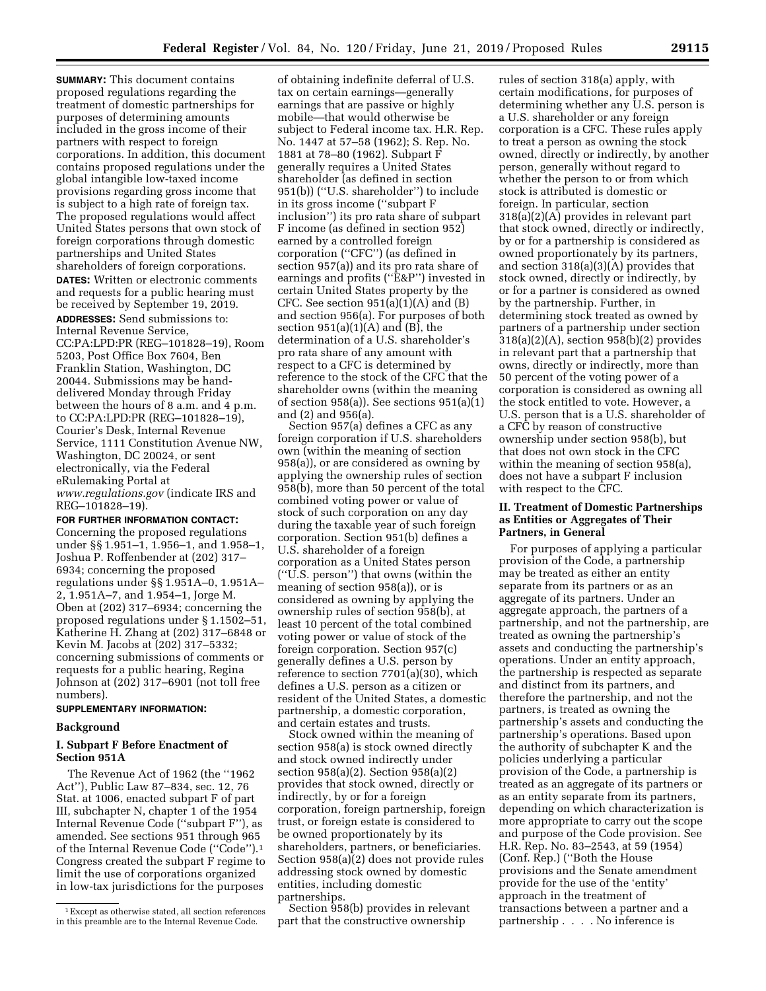**SUMMARY:** This document contains proposed regulations regarding the treatment of domestic partnerships for purposes of determining amounts included in the gross income of their partners with respect to foreign corporations. In addition, this document contains proposed regulations under the global intangible low-taxed income provisions regarding gross income that is subject to a high rate of foreign tax. The proposed regulations would affect United States persons that own stock of foreign corporations through domestic partnerships and United States shareholders of foreign corporations.

**DATES:** Written or electronic comments and requests for a public hearing must be received by September 19, 2019.

**ADDRESSES:** Send submissions to: Internal Revenue Service, CC:PA:LPD:PR (REG–101828–19), Room 5203, Post Office Box 7604, Ben Franklin Station, Washington, DC 20044. Submissions may be handdelivered Monday through Friday between the hours of 8 a.m. and 4 p.m. to CC:PA:LPD:PR (REG–101828–19), Courier's Desk, Internal Revenue Service, 1111 Constitution Avenue NW, Washington, DC 20024, or sent electronically, via the Federal eRulemaking Portal at *[www.regulations.gov](http://www.regulations.gov)* (indicate IRS and REG–101828–19).

### **FOR FURTHER INFORMATION CONTACT:**

Concerning the proposed regulations under §§ 1.951–1, 1.956–1, and 1.958–1, Joshua P. Roffenbender at (202) 317– 6934; concerning the proposed regulations under §§ 1.951A–0, 1.951A– 2, 1.951A–7, and 1.954–1, Jorge M. Oben at (202) 317–6934; concerning the proposed regulations under § 1.1502–51, Katherine H. Zhang at (202) 317–6848 or Kevin M. Jacobs at (202) 317–5332; concerning submissions of comments or requests for a public hearing, Regina Johnson at (202) 317–6901 (not toll free numbers).

### **SUPPLEMENTARY INFORMATION:**

# **Background**

# **I. Subpart F Before Enactment of Section 951A**

The Revenue Act of 1962 (the ''1962 Act''), Public Law 87–834, sec. 12, 76 Stat. at 1006, enacted subpart F of part III, subchapter N, chapter 1 of the 1954 Internal Revenue Code (''subpart F''), as amended. See sections 951 through 965 of the Internal Revenue Code (''Code'').1 Congress created the subpart F regime to limit the use of corporations organized in low-tax jurisdictions for the purposes

of obtaining indefinite deferral of U.S. tax on certain earnings—generally earnings that are passive or highly mobile—that would otherwise be subject to Federal income tax. H.R. Rep. No. 1447 at 57–58 (1962); S. Rep. No. 1881 at 78–80 (1962). Subpart F generally requires a United States shareholder (as defined in section 951(b)) (''U.S. shareholder'') to include in its gross income (''subpart F inclusion'') its pro rata share of subpart F income (as defined in section 952) earned by a controlled foreign corporation (''CFC'') (as defined in section 957(a)) and its pro rata share of earnings and profits (''E&P'') invested in certain United States property by the CFC. See section  $951(a)(1)(A)$  and  $(B)$ and section 956(a). For purposes of both section  $951(a)(1)(A)$  and  $(B)$ , the determination of a U.S. shareholder's pro rata share of any amount with respect to a CFC is determined by reference to the stock of the CFC that the shareholder owns (within the meaning of section 958(a)). See sections 951(a)(1) and (2) and 956(a).

Section 957(a) defines a CFC as any foreign corporation if U.S. shareholders own (within the meaning of section 958(a)), or are considered as owning by applying the ownership rules of section 958(b), more than 50 percent of the total combined voting power or value of stock of such corporation on any day during the taxable year of such foreign corporation. Section 951(b) defines a U.S. shareholder of a foreign corporation as a United States person (''U.S. person'') that owns (within the meaning of section 958(a)), or is considered as owning by applying the ownership rules of section 958(b), at least 10 percent of the total combined voting power or value of stock of the foreign corporation. Section 957(c) generally defines a U.S. person by reference to section 7701(a)(30), which defines a U.S. person as a citizen or resident of the United States, a domestic partnership, a domestic corporation, and certain estates and trusts.

Stock owned within the meaning of section 958(a) is stock owned directly and stock owned indirectly under section 958(a)(2). Section 958(a)(2) provides that stock owned, directly or indirectly, by or for a foreign corporation, foreign partnership, foreign trust, or foreign estate is considered to be owned proportionately by its shareholders, partners, or beneficiaries. Section  $958(a)(2)$  does not provide rules addressing stock owned by domestic entities, including domestic partnerships.

Section 958(b) provides in relevant part that the constructive ownership

rules of section 318(a) apply, with certain modifications, for purposes of determining whether any U.S. person is a U.S. shareholder or any foreign corporation is a CFC. These rules apply to treat a person as owning the stock owned, directly or indirectly, by another person, generally without regard to whether the person to or from which stock is attributed is domestic or foreign. In particular, section 318(a)(2)(A) provides in relevant part that stock owned, directly or indirectly, by or for a partnership is considered as owned proportionately by its partners, and section 318(a)(3)(A) provides that stock owned, directly or indirectly, by or for a partner is considered as owned by the partnership. Further, in determining stock treated as owned by partners of a partnership under section 318(a)(2)(A), section 958(b)(2) provides in relevant part that a partnership that owns, directly or indirectly, more than 50 percent of the voting power of a corporation is considered as owning all the stock entitled to vote. However, a U.S. person that is a U.S. shareholder of a CFC by reason of constructive ownership under section 958(b), but that does not own stock in the CFC within the meaning of section 958(a), does not have a subpart F inclusion with respect to the CFC.

### **II. Treatment of Domestic Partnerships as Entities or Aggregates of Their Partners, in General**

For purposes of applying a particular provision of the Code, a partnership may be treated as either an entity separate from its partners or as an aggregate of its partners. Under an aggregate approach, the partners of a partnership, and not the partnership, are treated as owning the partnership's assets and conducting the partnership's operations. Under an entity approach, the partnership is respected as separate and distinct from its partners, and therefore the partnership, and not the partners, is treated as owning the partnership's assets and conducting the partnership's operations. Based upon the authority of subchapter K and the policies underlying a particular provision of the Code, a partnership is treated as an aggregate of its partners or as an entity separate from its partners, depending on which characterization is more appropriate to carry out the scope and purpose of the Code provision. See H.R. Rep. No. 83–2543, at 59 (1954) (Conf. Rep.) (''Both the House provisions and the Senate amendment provide for the use of the 'entity' approach in the treatment of transactions between a partner and a partnership . . . . No inference is

<sup>1</sup>Except as otherwise stated, all section references in this preamble are to the Internal Revenue Code.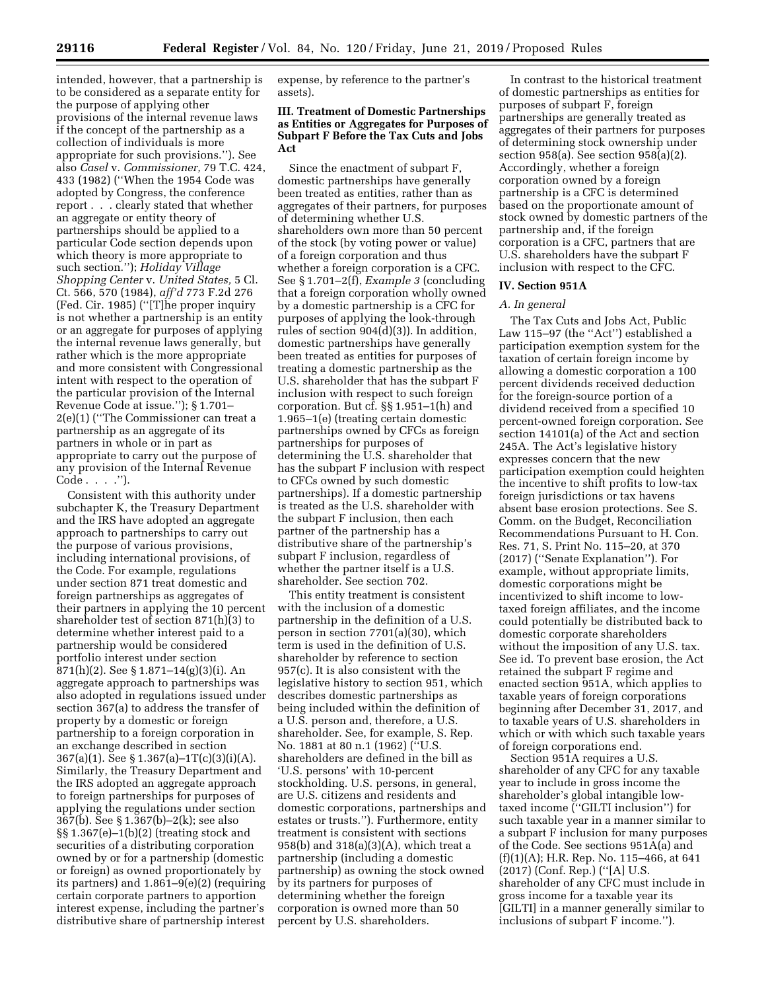intended, however, that a partnership is to be considered as a separate entity for the purpose of applying other provisions of the internal revenue laws if the concept of the partnership as a collection of individuals is more appropriate for such provisions.''). See also *Casel* v. *Commissioner,* 79 T.C. 424, 433 (1982) (''When the 1954 Code was adopted by Congress, the conference report . . . clearly stated that whether an aggregate or entity theory of partnerships should be applied to a particular Code section depends upon which theory is more appropriate to such section.''); *Holiday Village Shopping Center* v. *United States,* 5 Cl. Ct. 566, 570 (1984), *aff'd* 773 F.2d 276 (Fed. Cir. 1985) (''[T]he proper inquiry is not whether a partnership is an entity or an aggregate for purposes of applying the internal revenue laws generally, but rather which is the more appropriate and more consistent with Congressional intent with respect to the operation of the particular provision of the Internal Revenue Code at issue.''); § 1.701– 2(e)(1) (''The Commissioner can treat a partnership as an aggregate of its partners in whole or in part as appropriate to carry out the purpose of any provision of the Internal Revenue Code . . . .'').

Consistent with this authority under subchapter K, the Treasury Department and the IRS have adopted an aggregate approach to partnerships to carry out the purpose of various provisions, including international provisions, of the Code. For example, regulations under section 871 treat domestic and foreign partnerships as aggregates of their partners in applying the 10 percent shareholder test of section 871(h)(3) to determine whether interest paid to a partnership would be considered portfolio interest under section 871(h)(2). See § 1.871–14(g)(3)(i). An aggregate approach to partnerships was also adopted in regulations issued under section 367(a) to address the transfer of property by a domestic or foreign partnership to a foreign corporation in an exchange described in section 367(a)(1). See § 1.367(a)–1T(c)(3)(i)(A). Similarly, the Treasury Department and the IRS adopted an aggregate approach to foreign partnerships for purposes of applying the regulations under section 367(b). See § 1.367(b)–2(k); see also §§ 1.367(e)–1(b)(2) (treating stock and securities of a distributing corporation owned by or for a partnership (domestic or foreign) as owned proportionately by its partners) and 1.861–9(e)(2) (requiring certain corporate partners to apportion interest expense, including the partner's distributive share of partnership interest

expense, by reference to the partner's assets).

# **III. Treatment of Domestic Partnerships as Entities or Aggregates for Purposes of Subpart F Before the Tax Cuts and Jobs Act**

Since the enactment of subpart F, domestic partnerships have generally been treated as entities, rather than as aggregates of their partners, for purposes of determining whether U.S. shareholders own more than 50 percent of the stock (by voting power or value) of a foreign corporation and thus whether a foreign corporation is a CFC. See § 1.701–2(f), *Example 3* (concluding that a foreign corporation wholly owned by a domestic partnership is a CFC for purposes of applying the look-through rules of section 904(d)(3)). In addition, domestic partnerships have generally been treated as entities for purposes of treating a domestic partnership as the U.S. shareholder that has the subpart F inclusion with respect to such foreign corporation. But cf. §§ 1.951–1(h) and 1.965–1(e) (treating certain domestic partnerships owned by CFCs as foreign partnerships for purposes of determining the U.S. shareholder that has the subpart F inclusion with respect to CFCs owned by such domestic partnerships). If a domestic partnership is treated as the U.S. shareholder with the subpart F inclusion, then each partner of the partnership has a distributive share of the partnership's subpart F inclusion, regardless of whether the partner itself is a U.S. shareholder. See section 702.

This entity treatment is consistent with the inclusion of a domestic partnership in the definition of a U.S. person in section 7701(a)(30), which term is used in the definition of U.S. shareholder by reference to section 957(c). It is also consistent with the legislative history to section 951, which describes domestic partnerships as being included within the definition of a U.S. person and, therefore, a U.S. shareholder. See, for example, S. Rep. No. 1881 at 80 n.1 (1962) (''U.S. shareholders are defined in the bill as 'U.S. persons' with 10-percent stockholding. U.S. persons, in general, are U.S. citizens and residents and domestic corporations, partnerships and estates or trusts.''). Furthermore, entity treatment is consistent with sections 958(b) and 318(a)(3)(A), which treat a partnership (including a domestic partnership) as owning the stock owned by its partners for purposes of determining whether the foreign corporation is owned more than 50 percent by U.S. shareholders.

In contrast to the historical treatment of domestic partnerships as entities for purposes of subpart F, foreign partnerships are generally treated as aggregates of their partners for purposes of determining stock ownership under section 958(a). See section 958(a)(2). Accordingly, whether a foreign corporation owned by a foreign partnership is a CFC is determined based on the proportionate amount of stock owned by domestic partners of the partnership and, if the foreign corporation is a CFC, partners that are U.S. shareholders have the subpart F inclusion with respect to the CFC.

#### **IV. Section 951A**

#### *A. In general*

The Tax Cuts and Jobs Act, Public Law 115–97 (the ''Act'') established a participation exemption system for the taxation of certain foreign income by allowing a domestic corporation a 100 percent dividends received deduction for the foreign-source portion of a dividend received from a specified 10 percent-owned foreign corporation. See section 14101(a) of the Act and section 245A. The Act's legislative history expresses concern that the new participation exemption could heighten the incentive to shift profits to low-tax foreign jurisdictions or tax havens absent base erosion protections. See S. Comm. on the Budget, Reconciliation Recommendations Pursuant to H. Con. Res. 71, S. Print No. 115–20, at 370 (2017) (''Senate Explanation''). For example, without appropriate limits, domestic corporations might be incentivized to shift income to lowtaxed foreign affiliates, and the income could potentially be distributed back to domestic corporate shareholders without the imposition of any U.S. tax. See id. To prevent base erosion, the Act retained the subpart F regime and enacted section 951A, which applies to taxable years of foreign corporations beginning after December 31, 2017, and to taxable years of U.S. shareholders in which or with which such taxable years of foreign corporations end.

Section 951A requires a U.S. shareholder of any CFC for any taxable year to include in gross income the shareholder's global intangible lowtaxed income (''GILTI inclusion'') for such taxable year in a manner similar to a subpart F inclusion for many purposes of the Code. See sections 951A(a) and (f)(1)(A); H.R. Rep. No. 115–466, at 641 (2017) (Conf. Rep.) (''[A] U.S. shareholder of any CFC must include in gross income for a taxable year its [GILTI] in a manner generally similar to inclusions of subpart F income.'').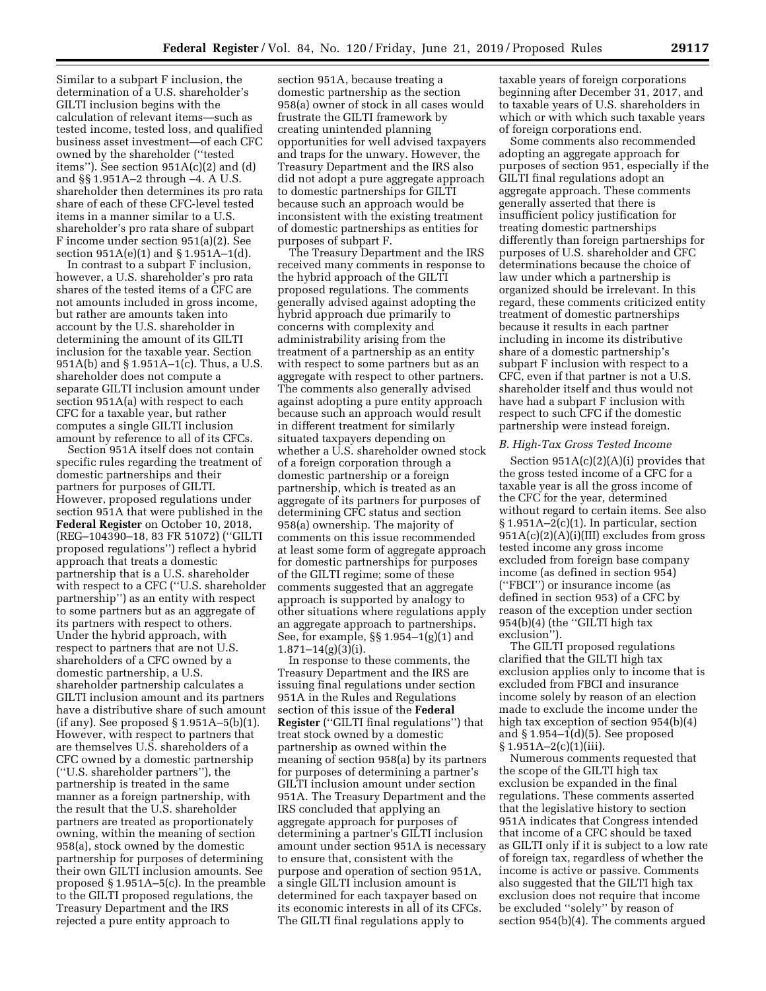Similar to a subpart F inclusion, the determination of a U.S. shareholder's GILTI inclusion begins with the calculation of relevant items—such as tested income, tested loss, and qualified business asset investment—of each CFC owned by the shareholder (''tested items''). See section 951A(c)(2) and (d) and §§ 1.951A–2 through –4. A U.S. shareholder then determines its pro rata share of each of these CFC-level tested items in a manner similar to a U.S. shareholder's pro rata share of subpart F income under section 951(a)(2). See section 951A(e)(1) and § 1.951A–1(d).

In contrast to a subpart F inclusion, however, a U.S. shareholder's pro rata shares of the tested items of a CFC are not amounts included in gross income, but rather are amounts taken into account by the U.S. shareholder in determining the amount of its GILTI inclusion for the taxable year. Section 951A(b) and § 1.951A–1(c). Thus, a U.S. shareholder does not compute a separate GILTI inclusion amount under section 951A(a) with respect to each CFC for a taxable year, but rather computes a single GILTI inclusion amount by reference to all of its CFCs.

Section 951A itself does not contain specific rules regarding the treatment of domestic partnerships and their partners for purposes of GILTI. However, proposed regulations under section 951A that were published in the **Federal Register** on October 10, 2018, (REG–104390–18, 83 FR 51072) (''GILTI proposed regulations'') reflect a hybrid approach that treats a domestic partnership that is a U.S. shareholder with respect to a CFC (''U.S. shareholder partnership'') as an entity with respect to some partners but as an aggregate of its partners with respect to others. Under the hybrid approach, with respect to partners that are not U.S. shareholders of a CFC owned by a domestic partnership, a U.S. shareholder partnership calculates a GILTI inclusion amount and its partners have a distributive share of such amount (if any). See proposed § 1.951A–5(b)(1). However, with respect to partners that are themselves U.S. shareholders of a CFC owned by a domestic partnership (''U.S. shareholder partners''), the partnership is treated in the same manner as a foreign partnership, with the result that the U.S. shareholder partners are treated as proportionately owning, within the meaning of section 958(a), stock owned by the domestic partnership for purposes of determining their own GILTI inclusion amounts. See proposed § 1.951A–5(c). In the preamble to the GILTI proposed regulations, the Treasury Department and the IRS rejected a pure entity approach to

section 951A, because treating a domestic partnership as the section 958(a) owner of stock in all cases would frustrate the GILTI framework by creating unintended planning opportunities for well advised taxpayers and traps for the unwary. However, the Treasury Department and the IRS also did not adopt a pure aggregate approach to domestic partnerships for GILTI because such an approach would be inconsistent with the existing treatment of domestic partnerships as entities for purposes of subpart F.

The Treasury Department and the IRS received many comments in response to the hybrid approach of the GILTI proposed regulations. The comments generally advised against adopting the hybrid approach due primarily to concerns with complexity and administrability arising from the treatment of a partnership as an entity with respect to some partners but as an aggregate with respect to other partners. The comments also generally advised against adopting a pure entity approach because such an approach would result in different treatment for similarly situated taxpayers depending on whether a U.S. shareholder owned stock of a foreign corporation through a domestic partnership or a foreign partnership, which is treated as an aggregate of its partners for purposes of determining CFC status and section 958(a) ownership. The majority of comments on this issue recommended at least some form of aggregate approach for domestic partnerships for purposes of the GILTI regime; some of these comments suggested that an aggregate approach is supported by analogy to other situations where regulations apply an aggregate approach to partnerships. See, for example, §§ 1.954–1(g)(1) and  $1.871 - 14(g)(3)(i)$ .

In response to these comments, the Treasury Department and the IRS are issuing final regulations under section 951A in the Rules and Regulations section of this issue of the **Federal Register** (''GILTI final regulations'') that treat stock owned by a domestic partnership as owned within the meaning of section 958(a) by its partners for purposes of determining a partner's GILTI inclusion amount under section 951A. The Treasury Department and the IRS concluded that applying an aggregate approach for purposes of determining a partner's GILTI inclusion amount under section 951A is necessary to ensure that, consistent with the purpose and operation of section 951A, a single GILTI inclusion amount is determined for each taxpayer based on its economic interests in all of its CFCs. The GILTI final regulations apply to

taxable years of foreign corporations beginning after December 31, 2017, and to taxable years of U.S. shareholders in which or with which such taxable years of foreign corporations end.

Some comments also recommended adopting an aggregate approach for purposes of section 951, especially if the GILTI final regulations adopt an aggregate approach. These comments generally asserted that there is insufficient policy justification for treating domestic partnerships differently than foreign partnerships for purposes of U.S. shareholder and CFC determinations because the choice of law under which a partnership is organized should be irrelevant. In this regard, these comments criticized entity treatment of domestic partnerships because it results in each partner including in income its distributive share of a domestic partnership's subpart F inclusion with respect to a CFC, even if that partner is not a U.S. shareholder itself and thus would not have had a subpart F inclusion with respect to such CFC if the domestic partnership were instead foreign.

#### *B. High-Tax Gross Tested Income*

Section 951A(c)(2)(A)(i) provides that the gross tested income of a CFC for a taxable year is all the gross income of the CFC for the year, determined without regard to certain items. See also § 1.951A–2(c)(1). In particular, section 951A(c)(2)(A)(i)(III) excludes from gross tested income any gross income excluded from foreign base company income (as defined in section 954) (''FBCI'') or insurance income (as defined in section 953) of a CFC by reason of the exception under section 954(b)(4) (the ''GILTI high tax exclusion'').

The GILTI proposed regulations clarified that the GILTI high tax exclusion applies only to income that is excluded from FBCI and insurance income solely by reason of an election made to exclude the income under the high tax exception of section 954(b)(4) and § 1.954–1(d)(5). See proposed § 1.951A–2(c)(1)(iii).

Numerous comments requested that the scope of the GILTI high tax exclusion be expanded in the final regulations. These comments asserted that the legislative history to section 951A indicates that Congress intended that income of a CFC should be taxed as GILTI only if it is subject to a low rate of foreign tax, regardless of whether the income is active or passive. Comments also suggested that the GILTI high tax exclusion does not require that income be excluded ''solely'' by reason of section 954(b)(4). The comments argued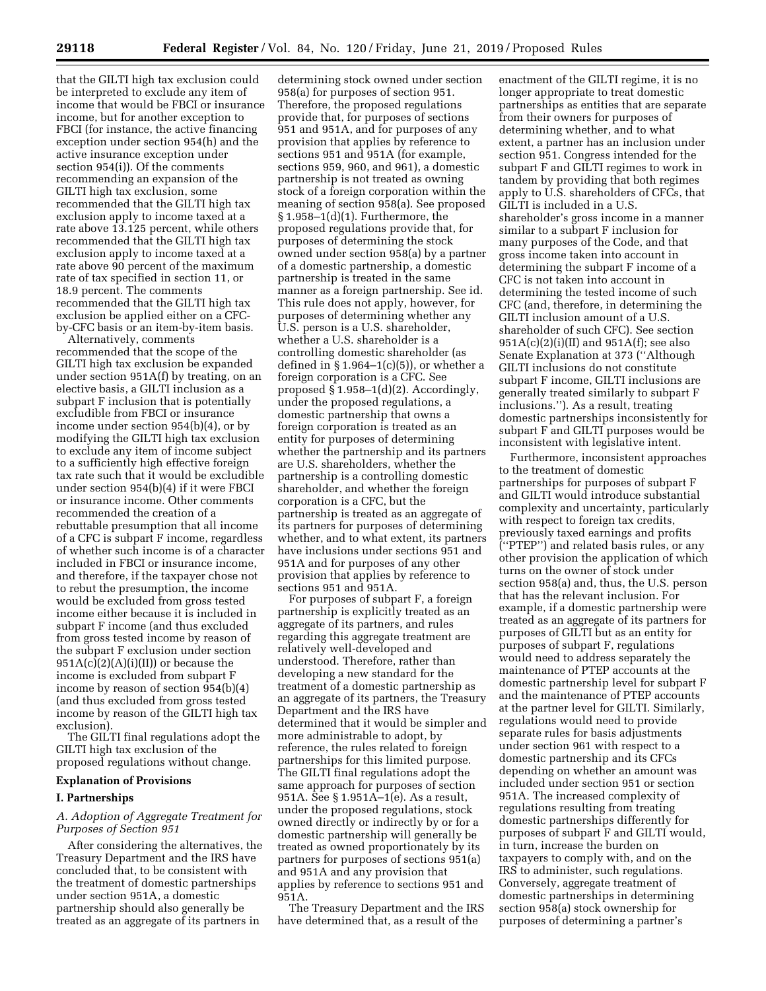that the GILTI high tax exclusion could be interpreted to exclude any item of income that would be FBCI or insurance income, but for another exception to FBCI (for instance, the active financing exception under section 954(h) and the active insurance exception under section 954(i)). Of the comments recommending an expansion of the GILTI high tax exclusion, some recommended that the GILTI high tax exclusion apply to income taxed at a rate above 13.125 percent, while others recommended that the GILTI high tax exclusion apply to income taxed at a rate above 90 percent of the maximum rate of tax specified in section 11, or 18.9 percent. The comments recommended that the GILTI high tax exclusion be applied either on a CFCby-CFC basis or an item-by-item basis.

Alternatively, comments recommended that the scope of the GILTI high tax exclusion be expanded under section 951A(f) by treating, on an elective basis, a GILTI inclusion as a subpart F inclusion that is potentially excludible from FBCI or insurance income under section 954(b)(4), or by modifying the GILTI high tax exclusion to exclude any item of income subject to a sufficiently high effective foreign tax rate such that it would be excludible under section 954(b)(4) if it were FBCI or insurance income. Other comments recommended the creation of a rebuttable presumption that all income of a CFC is subpart F income, regardless of whether such income is of a character included in FBCI or insurance income, and therefore, if the taxpayer chose not to rebut the presumption, the income would be excluded from gross tested income either because it is included in subpart F income (and thus excluded from gross tested income by reason of the subpart F exclusion under section  $951A(c)(2)(A)(i)(II))$  or because the income is excluded from subpart F income by reason of section 954(b)(4) (and thus excluded from gross tested income by reason of the GILTI high tax exclusion).

The GILTI final regulations adopt the GILTI high tax exclusion of the proposed regulations without change.

### **Explanation of Provisions**

#### **I. Partnerships**

# *A. Adoption of Aggregate Treatment for Purposes of Section 951*

After considering the alternatives, the Treasury Department and the IRS have concluded that, to be consistent with the treatment of domestic partnerships under section 951A, a domestic partnership should also generally be treated as an aggregate of its partners in

determining stock owned under section 958(a) for purposes of section 951. Therefore, the proposed regulations provide that, for purposes of sections 951 and 951A, and for purposes of any provision that applies by reference to sections 951 and 951A (for example, sections 959, 960, and 961), a domestic partnership is not treated as owning stock of a foreign corporation within the meaning of section 958(a). See proposed § 1.958–1(d)(1). Furthermore, the proposed regulations provide that, for purposes of determining the stock owned under section 958(a) by a partner of a domestic partnership, a domestic partnership is treated in the same manner as a foreign partnership. See id. This rule does not apply, however, for purposes of determining whether any U.S. person is a U.S. shareholder, whether a U.S. shareholder is a controlling domestic shareholder (as defined in  $\S 1.964-1(c)(5)$ , or whether a foreign corporation is a CFC. See proposed § 1.958–1(d)(2). Accordingly, under the proposed regulations, a domestic partnership that owns a foreign corporation is treated as an entity for purposes of determining whether the partnership and its partners are U.S. shareholders, whether the partnership is a controlling domestic shareholder, and whether the foreign corporation is a CFC, but the partnership is treated as an aggregate of its partners for purposes of determining whether, and to what extent, its partners have inclusions under sections 951 and 951A and for purposes of any other provision that applies by reference to sections 951 and 951A.

For purposes of subpart F, a foreign partnership is explicitly treated as an aggregate of its partners, and rules regarding this aggregate treatment are relatively well-developed and understood. Therefore, rather than developing a new standard for the treatment of a domestic partnership as an aggregate of its partners, the Treasury Department and the IRS have determined that it would be simpler and more administrable to adopt, by reference, the rules related to foreign partnerships for this limited purpose. The GILTI final regulations adopt the same approach for purposes of section 951A. See § 1.951A–1(e). As a result, under the proposed regulations, stock owned directly or indirectly by or for a domestic partnership will generally be treated as owned proportionately by its partners for purposes of sections 951(a) and 951A and any provision that applies by reference to sections 951 and 951A.

The Treasury Department and the IRS have determined that, as a result of the

enactment of the GILTI regime, it is no longer appropriate to treat domestic partnerships as entities that are separate from their owners for purposes of determining whether, and to what extent, a partner has an inclusion under section 951. Congress intended for the subpart F and GILTI regimes to work in tandem by providing that both regimes apply to U.S. shareholders of CFCs, that GILTI is included in a U.S. shareholder's gross income in a manner similar to a subpart F inclusion for many purposes of the Code, and that gross income taken into account in determining the subpart F income of a CFC is not taken into account in determining the tested income of such CFC (and, therefore, in determining the GILTI inclusion amount of a U.S. shareholder of such CFC). See section  $951A(c)(2)(i)(II)$  and  $951A(f)$ ; see also Senate Explanation at 373 (''Although GILTI inclusions do not constitute subpart F income, GILTI inclusions are generally treated similarly to subpart F inclusions.''). As a result, treating domestic partnerships inconsistently for subpart F and GILTI purposes would be inconsistent with legislative intent.

Furthermore, inconsistent approaches to the treatment of domestic partnerships for purposes of subpart F and GILTI would introduce substantial complexity and uncertainty, particularly with respect to foreign tax credits, previously taxed earnings and profits (''PTEP'') and related basis rules, or any other provision the application of which turns on the owner of stock under section 958(a) and, thus, the U.S. person that has the relevant inclusion. For example, if a domestic partnership were treated as an aggregate of its partners for purposes of GILTI but as an entity for purposes of subpart F, regulations would need to address separately the maintenance of PTEP accounts at the domestic partnership level for subpart F and the maintenance of PTEP accounts at the partner level for GILTI. Similarly, regulations would need to provide separate rules for basis adjustments under section 961 with respect to a domestic partnership and its CFCs depending on whether an amount was included under section 951 or section 951A. The increased complexity of regulations resulting from treating domestic partnerships differently for purposes of subpart F and GILTI would, in turn, increase the burden on taxpayers to comply with, and on the IRS to administer, such regulations. Conversely, aggregate treatment of domestic partnerships in determining section 958(a) stock ownership for purposes of determining a partner's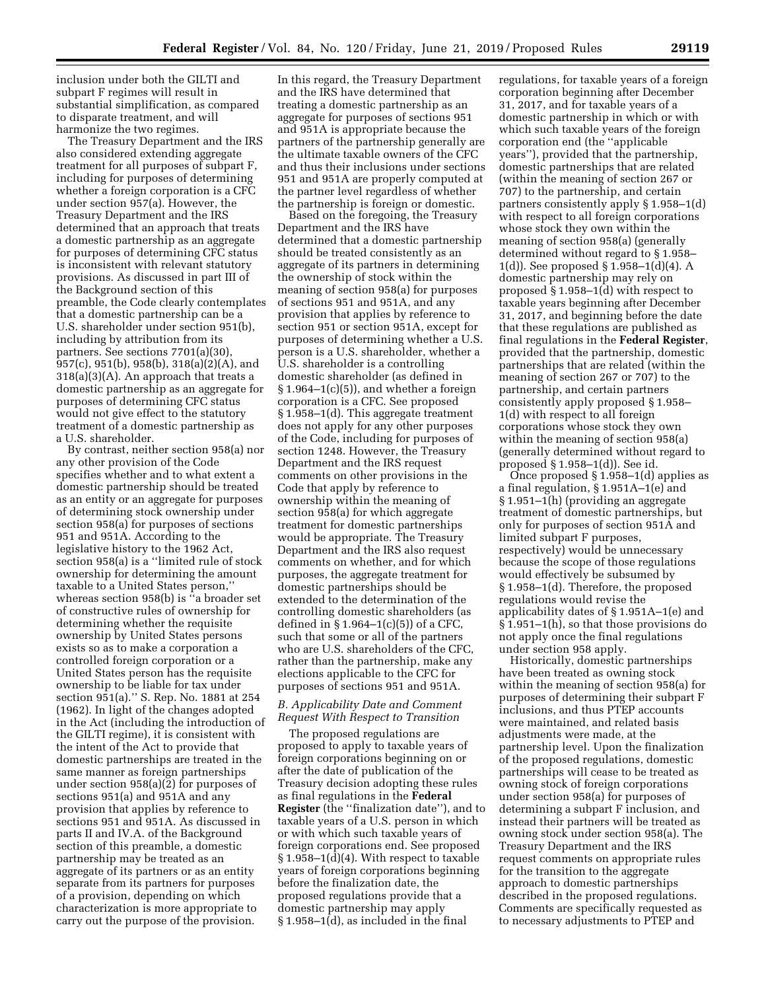inclusion under both the GILTI and subpart F regimes will result in substantial simplification, as compared to disparate treatment, and will harmonize the two regimes.

The Treasury Department and the IRS also considered extending aggregate treatment for all purposes of subpart F, including for purposes of determining whether a foreign corporation is a CFC under section 957(a). However, the Treasury Department and the IRS determined that an approach that treats a domestic partnership as an aggregate for purposes of determining CFC status is inconsistent with relevant statutory provisions. As discussed in part III of the Background section of this preamble, the Code clearly contemplates that a domestic partnership can be a U.S. shareholder under section 951(b), including by attribution from its partners. See sections 7701(a)(30), 957(c), 951(b), 958(b), 318(a)(2)(A), and  $318(a)(3)(A)$ . An approach that treats a domestic partnership as an aggregate for purposes of determining CFC status would not give effect to the statutory treatment of a domestic partnership as a U.S. shareholder.

By contrast, neither section 958(a) nor any other provision of the Code specifies whether and to what extent a domestic partnership should be treated as an entity or an aggregate for purposes of determining stock ownership under section 958(a) for purposes of sections 951 and 951A. According to the legislative history to the 1962 Act, section 958(a) is a ''limited rule of stock ownership for determining the amount taxable to a United States person,'' whereas section 958(b) is ''a broader set of constructive rules of ownership for determining whether the requisite ownership by United States persons exists so as to make a corporation a controlled foreign corporation or a United States person has the requisite ownership to be liable for tax under section 951(a).'' S. Rep. No. 1881 at 254 (1962). In light of the changes adopted in the Act (including the introduction of the GILTI regime), it is consistent with the intent of the Act to provide that domestic partnerships are treated in the same manner as foreign partnerships under section 958(a)(2) for purposes of sections 951(a) and 951A and any provision that applies by reference to sections 951 and 951A. As discussed in parts II and IV.A. of the Background section of this preamble, a domestic partnership may be treated as an aggregate of its partners or as an entity separate from its partners for purposes of a provision, depending on which characterization is more appropriate to carry out the purpose of the provision.

In this regard, the Treasury Department and the IRS have determined that treating a domestic partnership as an aggregate for purposes of sections 951 and 951A is appropriate because the partners of the partnership generally are the ultimate taxable owners of the CFC and thus their inclusions under sections 951 and 951A are properly computed at the partner level regardless of whether the partnership is foreign or domestic.

Based on the foregoing, the Treasury Department and the IRS have determined that a domestic partnership should be treated consistently as an aggregate of its partners in determining the ownership of stock within the meaning of section 958(a) for purposes of sections 951 and 951A, and any provision that applies by reference to section 951 or section 951A, except for purposes of determining whether a U.S. person is a U.S. shareholder, whether a U.S. shareholder is a controlling domestic shareholder (as defined in  $\S 1.964-1(c)(5)$ , and whether a foreign corporation is a CFC. See proposed § 1.958–1(d). This aggregate treatment does not apply for any other purposes of the Code, including for purposes of section 1248. However, the Treasury Department and the IRS request comments on other provisions in the Code that apply by reference to ownership within the meaning of section 958(a) for which aggregate treatment for domestic partnerships would be appropriate. The Treasury Department and the IRS also request comments on whether, and for which purposes, the aggregate treatment for domestic partnerships should be extended to the determination of the controlling domestic shareholders (as defined in  $\S 1.964-1(c)(5)$  of a CFC, such that some or all of the partners who are U.S. shareholders of the CFC, rather than the partnership, make any elections applicable to the CFC for purposes of sections 951 and 951A.

#### *B. Applicability Date and Comment Request With Respect to Transition*

The proposed regulations are proposed to apply to taxable years of foreign corporations beginning on or after the date of publication of the Treasury decision adopting these rules as final regulations in the **Federal Register** (the ''finalization date''), and to taxable years of a U.S. person in which or with which such taxable years of foreign corporations end. See proposed  $§ 1.958-1(\bar{d})(4)$ . With respect to taxable years of foreign corporations beginning before the finalization date, the proposed regulations provide that a domestic partnership may apply § 1.958–1(d), as included in the final

regulations, for taxable years of a foreign corporation beginning after December 31, 2017, and for taxable years of a domestic partnership in which or with which such taxable years of the foreign corporation end (the ''applicable years''), provided that the partnership, domestic partnerships that are related (within the meaning of section 267 or 707) to the partnership, and certain partners consistently apply § 1.958–1(d) with respect to all foreign corporations whose stock they own within the meaning of section 958(a) (generally determined without regard to § 1.958– 1(d)). See proposed § 1.958–1(d)(4). A domestic partnership may rely on proposed § 1.958–1(d) with respect to taxable years beginning after December 31, 2017, and beginning before the date that these regulations are published as final regulations in the **Federal Register**, provided that the partnership, domestic partnerships that are related (within the meaning of section 267 or 707) to the partnership, and certain partners consistently apply proposed § 1.958– 1(d) with respect to all foreign corporations whose stock they own within the meaning of section 958(a) (generally determined without regard to proposed § 1.958–1(d)). See id.

Once proposed § 1.958–1(d) applies as a final regulation, § 1.951A–1(e) and § 1.951–1(h) (providing an aggregate treatment of domestic partnerships, but only for purposes of section 951A and limited subpart F purposes, respectively) would be unnecessary because the scope of those regulations would effectively be subsumed by § 1.958–1(d). Therefore, the proposed regulations would revise the applicability dates of § 1.951A–1(e) and § 1.951–1(h), so that those provisions do not apply once the final regulations under section 958 apply.

Historically, domestic partnerships have been treated as owning stock within the meaning of section 958(a) for purposes of determining their subpart F inclusions, and thus PTEP accounts were maintained, and related basis adjustments were made, at the partnership level. Upon the finalization of the proposed regulations, domestic partnerships will cease to be treated as owning stock of foreign corporations under section 958(a) for purposes of determining a subpart F inclusion, and instead their partners will be treated as owning stock under section 958(a). The Treasury Department and the IRS request comments on appropriate rules for the transition to the aggregate approach to domestic partnerships described in the proposed regulations. Comments are specifically requested as to necessary adjustments to PTEP and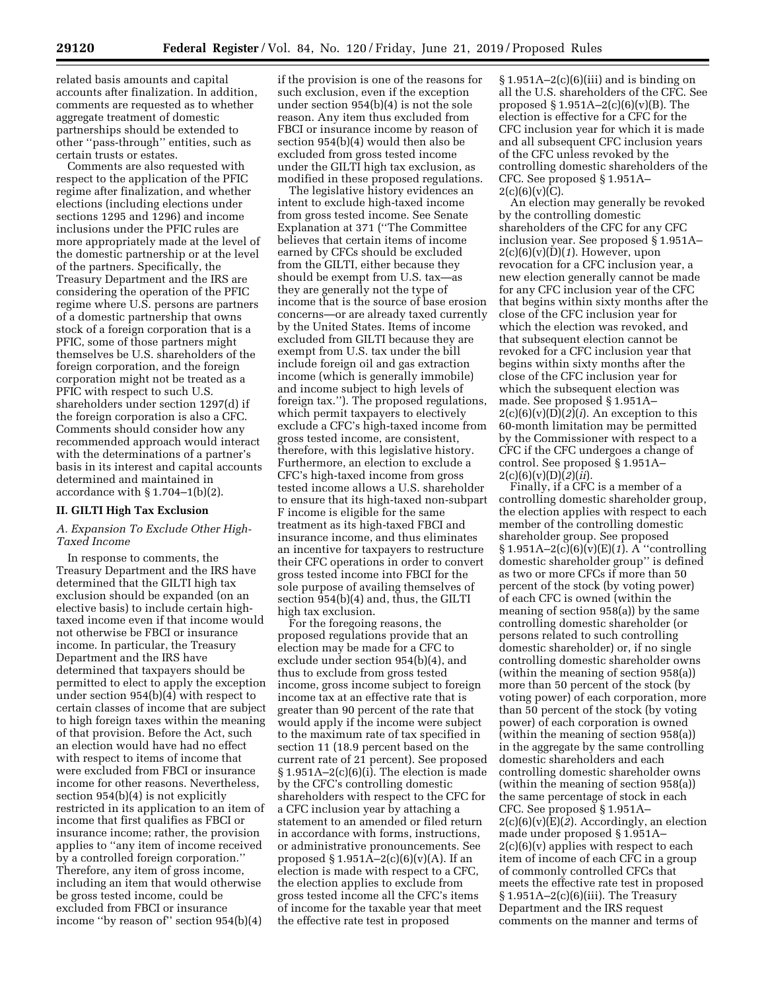related basis amounts and capital accounts after finalization. In addition, comments are requested as to whether aggregate treatment of domestic partnerships should be extended to other ''pass-through'' entities, such as certain trusts or estates.

Comments are also requested with respect to the application of the PFIC regime after finalization, and whether elections (including elections under sections 1295 and 1296) and income inclusions under the PFIC rules are more appropriately made at the level of the domestic partnership or at the level of the partners. Specifically, the Treasury Department and the IRS are considering the operation of the PFIC regime where U.S. persons are partners of a domestic partnership that owns stock of a foreign corporation that is a PFIC, some of those partners might themselves be U.S. shareholders of the foreign corporation, and the foreign corporation might not be treated as a PFIC with respect to such U.S. shareholders under section 1297(d) if the foreign corporation is also a CFC. Comments should consider how any recommended approach would interact with the determinations of a partner's basis in its interest and capital accounts determined and maintained in accordance with  $\S 1.704-1(b)(2)$ .

#### **II. GILTI High Tax Exclusion**

# *A. Expansion To Exclude Other High-Taxed Income*

In response to comments, the Treasury Department and the IRS have determined that the GILTI high tax exclusion should be expanded (on an elective basis) to include certain hightaxed income even if that income would not otherwise be FBCI or insurance income. In particular, the Treasury Department and the IRS have determined that taxpayers should be permitted to elect to apply the exception under section 954(b)(4) with respect to certain classes of income that are subject to high foreign taxes within the meaning of that provision. Before the Act, such an election would have had no effect with respect to items of income that were excluded from FBCI or insurance income for other reasons. Nevertheless, section 954(b)(4) is not explicitly restricted in its application to an item of income that first qualifies as FBCI or insurance income; rather, the provision applies to ''any item of income received by a controlled foreign corporation.'' Therefore, any item of gross income, including an item that would otherwise be gross tested income, could be excluded from FBCI or insurance income ''by reason of'' section 954(b)(4)

if the provision is one of the reasons for such exclusion, even if the exception under section 954(b)(4) is not the sole reason. Any item thus excluded from FBCI or insurance income by reason of section 954(b)(4) would then also be excluded from gross tested income under the GILTI high tax exclusion, as modified in these proposed regulations.

The legislative history evidences an intent to exclude high-taxed income from gross tested income. See Senate Explanation at 371 (''The Committee believes that certain items of income earned by CFCs should be excluded from the GILTI, either because they should be exempt from U.S. tax—as they are generally not the type of income that is the source of base erosion concerns—or are already taxed currently by the United States. Items of income excluded from GILTI because they are exempt from U.S. tax under the bill include foreign oil and gas extraction income (which is generally immobile) and income subject to high levels of foreign tax.''). The proposed regulations, which permit taxpayers to electively exclude a CFC's high-taxed income from gross tested income, are consistent, therefore, with this legislative history. Furthermore, an election to exclude a CFC's high-taxed income from gross tested income allows a U.S. shareholder to ensure that its high-taxed non-subpart F income is eligible for the same treatment as its high-taxed FBCI and insurance income, and thus eliminates an incentive for taxpayers to restructure their CFC operations in order to convert gross tested income into FBCI for the sole purpose of availing themselves of section 954(b)(4) and, thus, the GILTI high tax exclusion.

For the foregoing reasons, the proposed regulations provide that an election may be made for a CFC to exclude under section 954(b)(4), and thus to exclude from gross tested income, gross income subject to foreign income tax at an effective rate that is greater than 90 percent of the rate that would apply if the income were subject to the maximum rate of tax specified in section 11 (18.9 percent based on the current rate of 21 percent). See proposed  $§ 1.951A - 2(c)(6)(i)$ . The election is made by the CFC's controlling domestic shareholders with respect to the CFC for a CFC inclusion year by attaching a statement to an amended or filed return in accordance with forms, instructions, or administrative pronouncements. See proposed § 1.951 $\overline{A}$ –2(c)(6)(v)(A). If an election is made with respect to a CFC, the election applies to exclude from gross tested income all the CFC's items of income for the taxable year that meet the effective rate test in proposed

 $§ 1.951A - 2(c)(6)(iii)$  and is binding on all the U.S. shareholders of the CFC. See proposed  $\S 1.951A-2(c)(6)(v)(B)$ . The election is effective for a CFC for the CFC inclusion year for which it is made and all subsequent CFC inclusion years of the CFC unless revoked by the controlling domestic shareholders of the CFC. See proposed § 1.951A–  $2(c)(6)(v)(C)$ .

An election may generally be revoked by the controlling domestic shareholders of the CFC for any CFC inclusion year. See proposed § 1.951A– 2(c)(6)(v)(D)(*1*). However, upon revocation for a CFC inclusion year, a new election generally cannot be made for any CFC inclusion year of the CFC that begins within sixty months after the close of the CFC inclusion year for which the election was revoked, and that subsequent election cannot be revoked for a CFC inclusion year that begins within sixty months after the close of the CFC inclusion year for which the subsequent election was made. See proposed § 1.951A–  $2(c)(6)(v)(D)(2)(i)$ . An exception to this 60-month limitation may be permitted by the Commissioner with respect to a CFC if the CFC undergoes a change of control. See proposed § 1.951A–  $2(c)(6)(v)(D)(2)(ii)$ .

Finally, if a CFC is a member of a controlling domestic shareholder group, the election applies with respect to each member of the controlling domestic shareholder group. See proposed § 1.951A–2(c)(6)(v)(E)(*1*). A ''controlling domestic shareholder group'' is defined as two or more CFCs if more than 50 percent of the stock (by voting power) of each CFC is owned (within the meaning of section 958(a)) by the same controlling domestic shareholder (or persons related to such controlling domestic shareholder) or, if no single controlling domestic shareholder owns (within the meaning of section 958(a)) more than 50 percent of the stock (by voting power) of each corporation, more than 50 percent of the stock (by voting power) of each corporation is owned (within the meaning of section 958(a)) in the aggregate by the same controlling domestic shareholders and each controlling domestic shareholder owns (within the meaning of section 958(a)) the same percentage of stock in each CFC. See proposed § 1.951A– 2(c)(6)(v)(E)(*2*). Accordingly, an election made under proposed § 1.951A–  $2(c)(6)(v)$  applies with respect to each item of income of each CFC in a group of commonly controlled CFCs that meets the effective rate test in proposed  $§ 1.951A - 2(c)(6)(iii)$ . The Treasury Department and the IRS request comments on the manner and terms of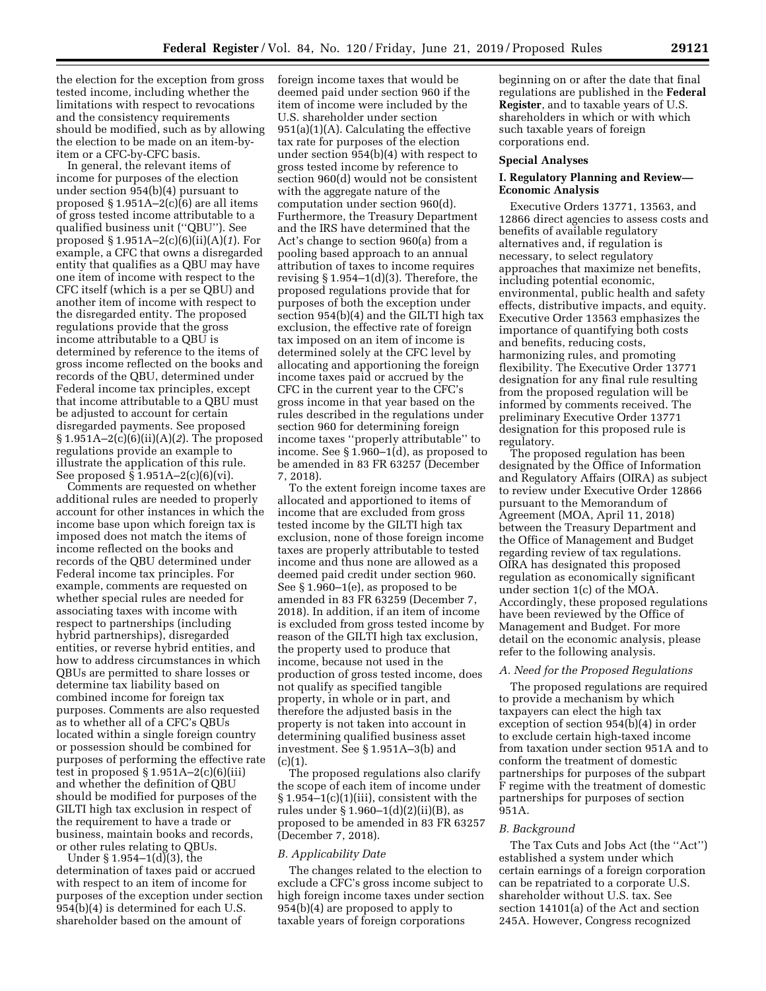the election for the exception from gross tested income, including whether the limitations with respect to revocations and the consistency requirements should be modified, such as by allowing the election to be made on an item-byitem or a CFC-by-CFC basis.

In general, the relevant items of income for purposes of the election under section 954(b)(4) pursuant to proposed  $\S 1.951A - 2(c)(6)$  are all items of gross tested income attributable to a qualified business unit (''QBU''). See proposed § 1.951A–2(c)(6)(ii)(A)(*1*). For example, a CFC that owns a disregarded entity that qualifies as a QBU may have one item of income with respect to the CFC itself (which is a per se QBU) and another item of income with respect to the disregarded entity. The proposed regulations provide that the gross income attributable to a QBU is determined by reference to the items of gross income reflected on the books and records of the QBU, determined under Federal income tax principles, except that income attributable to a QBU must be adjusted to account for certain disregarded payments. See proposed § 1.951A–2(c)(6)(ii)(A)(*2*). The proposed regulations provide an example to illustrate the application of this rule. See proposed § 1.951A–2(c)(6)(vi).

Comments are requested on whether additional rules are needed to properly account for other instances in which the income base upon which foreign tax is imposed does not match the items of income reflected on the books and records of the QBU determined under Federal income tax principles. For example, comments are requested on whether special rules are needed for associating taxes with income with respect to partnerships (including hybrid partnerships), disregarded entities, or reverse hybrid entities, and how to address circumstances in which QBUs are permitted to share losses or determine tax liability based on combined income for foreign tax purposes. Comments are also requested as to whether all of a CFC's QBUs located within a single foreign country or possession should be combined for purposes of performing the effective rate test in proposed  $\S 1.951A - 2(c)(6)(iii)$ and whether the definition of QBU should be modified for purposes of the GILTI high tax exclusion in respect of the requirement to have a trade or business, maintain books and records, or other rules relating to QBUs.

Under  $\S 1.954-1(d)(3)$ , the determination of taxes paid or accrued with respect to an item of income for purposes of the exception under section 954(b)(4) is determined for each U.S. shareholder based on the amount of

foreign income taxes that would be deemed paid under section 960 if the item of income were included by the U.S. shareholder under section 951(a)(1)(A). Calculating the effective tax rate for purposes of the election under section 954(b)(4) with respect to gross tested income by reference to section 960(d) would not be consistent with the aggregate nature of the computation under section 960(d). Furthermore, the Treasury Department and the IRS have determined that the Act's change to section 960(a) from a pooling based approach to an annual attribution of taxes to income requires revising § 1.954–1(d)(3). Therefore, the proposed regulations provide that for purposes of both the exception under section 954(b)(4) and the GILTI high tax exclusion, the effective rate of foreign tax imposed on an item of income is determined solely at the CFC level by allocating and apportioning the foreign income taxes paid or accrued by the CFC in the current year to the CFC's gross income in that year based on the rules described in the regulations under section 960 for determining foreign income taxes ''properly attributable'' to income. See § 1.960–1(d), as proposed to be amended in 83 FR 63257 (December 7, 2018).

To the extent foreign income taxes are allocated and apportioned to items of income that are excluded from gross tested income by the GILTI high tax exclusion, none of those foreign income taxes are properly attributable to tested income and thus none are allowed as a deemed paid credit under section 960. See § 1.960–1(e), as proposed to be amended in 83 FR 63259 (December 7, 2018). In addition, if an item of income is excluded from gross tested income by reason of the GILTI high tax exclusion, the property used to produce that income, because not used in the production of gross tested income, does not qualify as specified tangible property, in whole or in part, and therefore the adjusted basis in the property is not taken into account in determining qualified business asset investment. See § 1.951A–3(b) and  $(c)(1).$ 

The proposed regulations also clarify the scope of each item of income under § 1.954–1(c)(1)(iii), consistent with the rules under § 1.960–1(d)(2)(ii)(B), as proposed to be amended in 83 FR 63257 (December 7, 2018).

#### *B. Applicability Date*

The changes related to the election to exclude a CFC's gross income subject to high foreign income taxes under section 954(b)(4) are proposed to apply to taxable years of foreign corporations

beginning on or after the date that final regulations are published in the **Federal Register**, and to taxable years of U.S. shareholders in which or with which such taxable years of foreign corporations end.

#### **Special Analyses**

# **I. Regulatory Planning and Review— Economic Analysis**

Executive Orders 13771, 13563, and 12866 direct agencies to assess costs and benefits of available regulatory alternatives and, if regulation is necessary, to select regulatory approaches that maximize net benefits, including potential economic, environmental, public health and safety effects, distributive impacts, and equity. Executive Order 13563 emphasizes the importance of quantifying both costs and benefits, reducing costs, harmonizing rules, and promoting flexibility. The Executive Order 13771 designation for any final rule resulting from the proposed regulation will be informed by comments received. The preliminary Executive Order 13771 designation for this proposed rule is regulatory.

The proposed regulation has been designated by the Office of Information and Regulatory Affairs (OIRA) as subject to review under Executive Order 12866 pursuant to the Memorandum of Agreement (MOA, April 11, 2018) between the Treasury Department and the Office of Management and Budget regarding review of tax regulations. OIRA has designated this proposed regulation as economically significant under section 1(c) of the MOA. Accordingly, these proposed regulations have been reviewed by the Office of Management and Budget. For more detail on the economic analysis, please refer to the following analysis.

#### *A. Need for the Proposed Regulations*

The proposed regulations are required to provide a mechanism by which taxpayers can elect the high tax exception of section 954(b)(4) in order to exclude certain high-taxed income from taxation under section 951A and to conform the treatment of domestic partnerships for purposes of the subpart F regime with the treatment of domestic partnerships for purposes of section 951A.

#### *B. Background*

The Tax Cuts and Jobs Act (the ''Act'') established a system under which certain earnings of a foreign corporation can be repatriated to a corporate U.S. shareholder without U.S. tax. See section 14101(a) of the Act and section 245A. However, Congress recognized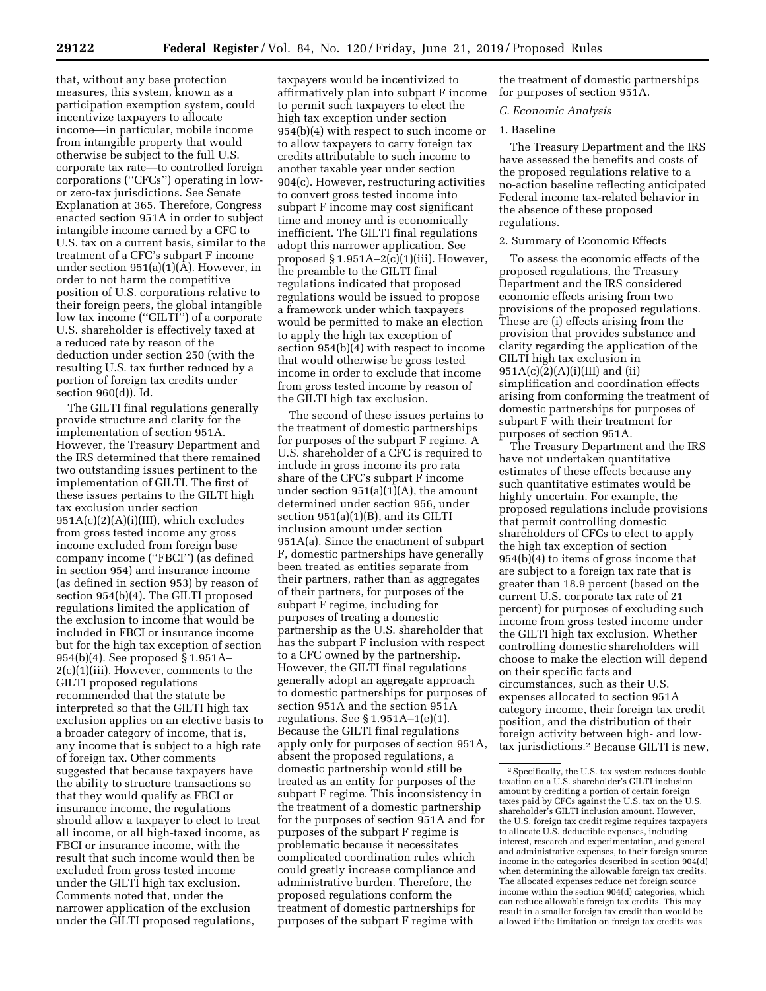that, without any base protection measures, this system, known as a participation exemption system, could incentivize taxpayers to allocate income—in particular, mobile income from intangible property that would otherwise be subject to the full U.S. corporate tax rate—to controlled foreign corporations (''CFCs'') operating in lowor zero-tax jurisdictions. See Senate Explanation at 365. Therefore, Congress enacted section 951A in order to subject intangible income earned by a CFC to U.S. tax on a current basis, similar to the treatment of a CFC's subpart F income under section 951(a)(1)(A). However, in order to not harm the competitive position of U.S. corporations relative to their foreign peers, the global intangible low tax income ("GILTI") of a corporate U.S. shareholder is effectively taxed at a reduced rate by reason of the deduction under section 250 (with the resulting U.S. tax further reduced by a portion of foreign tax credits under section 960(d)). Id.

The GILTI final regulations generally provide structure and clarity for the implementation of section 951A. However, the Treasury Department and the IRS determined that there remained two outstanding issues pertinent to the implementation of GILTI. The first of these issues pertains to the GILTI high tax exclusion under section 951A(c)(2)(A)(i)(III), which excludes from gross tested income any gross income excluded from foreign base company income (''FBCI'') (as defined in section 954) and insurance income (as defined in section 953) by reason of section 954(b)(4). The GILTI proposed regulations limited the application of the exclusion to income that would be included in FBCI or insurance income but for the high tax exception of section 954(b)(4). See proposed § 1.951A– 2(c)(1)(iii). However, comments to the GILTI proposed regulations recommended that the statute be interpreted so that the GILTI high tax exclusion applies on an elective basis to a broader category of income, that is, any income that is subject to a high rate of foreign tax. Other comments suggested that because taxpayers have the ability to structure transactions so that they would qualify as FBCI or insurance income, the regulations should allow a taxpayer to elect to treat all income, or all high-taxed income, as FBCI or insurance income, with the result that such income would then be excluded from gross tested income under the GILTI high tax exclusion. Comments noted that, under the narrower application of the exclusion under the GILTI proposed regulations,

taxpayers would be incentivized to affirmatively plan into subpart F income to permit such taxpayers to elect the high tax exception under section 954(b)(4) with respect to such income or to allow taxpayers to carry foreign tax credits attributable to such income to another taxable year under section 904(c). However, restructuring activities to convert gross tested income into subpart F income may cost significant time and money and is economically inefficient. The GILTI final regulations adopt this narrower application. See proposed  $§ 1.951A-2(c)(1)(iii)$ . However, the preamble to the GILTI final regulations indicated that proposed regulations would be issued to propose a framework under which taxpayers would be permitted to make an election to apply the high tax exception of section 954(b)(4) with respect to income that would otherwise be gross tested income in order to exclude that income from gross tested income by reason of the GILTI high tax exclusion.

The second of these issues pertains to the treatment of domestic partnerships for purposes of the subpart F regime. A U.S. shareholder of a CFC is required to include in gross income its pro rata share of the CFC's subpart F income under section 951(a)(1)(A), the amount determined under section 956, under section 951(a)(1)(B), and its GILTI inclusion amount under section 951A(a). Since the enactment of subpart F, domestic partnerships have generally been treated as entities separate from their partners, rather than as aggregates of their partners, for purposes of the subpart F regime, including for purposes of treating a domestic partnership as the U.S. shareholder that has the subpart F inclusion with respect to a CFC owned by the partnership. However, the GILTI final regulations generally adopt an aggregate approach to domestic partnerships for purposes of section 951A and the section 951A regulations. See § 1.951A–1(e)(1). Because the GILTI final regulations apply only for purposes of section 951A, absent the proposed regulations, a domestic partnership would still be treated as an entity for purposes of the subpart F regime. This inconsistency in the treatment of a domestic partnership for the purposes of section 951A and for purposes of the subpart F regime is problematic because it necessitates complicated coordination rules which could greatly increase compliance and administrative burden. Therefore, the proposed regulations conform the treatment of domestic partnerships for purposes of the subpart F regime with

the treatment of domestic partnerships for purposes of section 951A.

#### *C. Economic Analysis*

# 1. Baseline

The Treasury Department and the IRS have assessed the benefits and costs of the proposed regulations relative to a no-action baseline reflecting anticipated Federal income tax-related behavior in the absence of these proposed regulations.

### 2. Summary of Economic Effects

To assess the economic effects of the proposed regulations, the Treasury Department and the IRS considered economic effects arising from two provisions of the proposed regulations. These are (i) effects arising from the provision that provides substance and clarity regarding the application of the GILTI high tax exclusion in  $951A(c)(2)(A)(i)(III)$  and (ii) simplification and coordination effects arising from conforming the treatment of domestic partnerships for purposes of subpart F with their treatment for purposes of section 951A.

The Treasury Department and the IRS have not undertaken quantitative estimates of these effects because any such quantitative estimates would be highly uncertain. For example, the proposed regulations include provisions that permit controlling domestic shareholders of CFCs to elect to apply the high tax exception of section 954(b)(4) to items of gross income that are subject to a foreign tax rate that is greater than 18.9 percent (based on the current U.S. corporate tax rate of 21 percent) for purposes of excluding such income from gross tested income under the GILTI high tax exclusion. Whether controlling domestic shareholders will choose to make the election will depend on their specific facts and circumstances, such as their U.S. expenses allocated to section 951A category income, their foreign tax credit position, and the distribution of their foreign activity between high- and lowtax jurisdictions.2 Because GILTI is new,

<sup>2</sup>Specifically, the U.S. tax system reduces double taxation on a U.S. shareholder's GILTI inclusion amount by crediting a portion of certain foreign taxes paid by CFCs against the U.S. tax on the U.S. shareholder's GILTI inclusion amount. However, the U.S. foreign tax credit regime requires taxpayers to allocate U.S. deductible expenses, including interest, research and experimentation, and general and administrative expenses, to their foreign source income in the categories described in section 904(d) when determining the allowable foreign tax credits. The allocated expenses reduce net foreign source income within the section 904(d) categories, which can reduce allowable foreign tax credits. This may result in a smaller foreign tax credit than would be allowed if the limitation on foreign tax credits was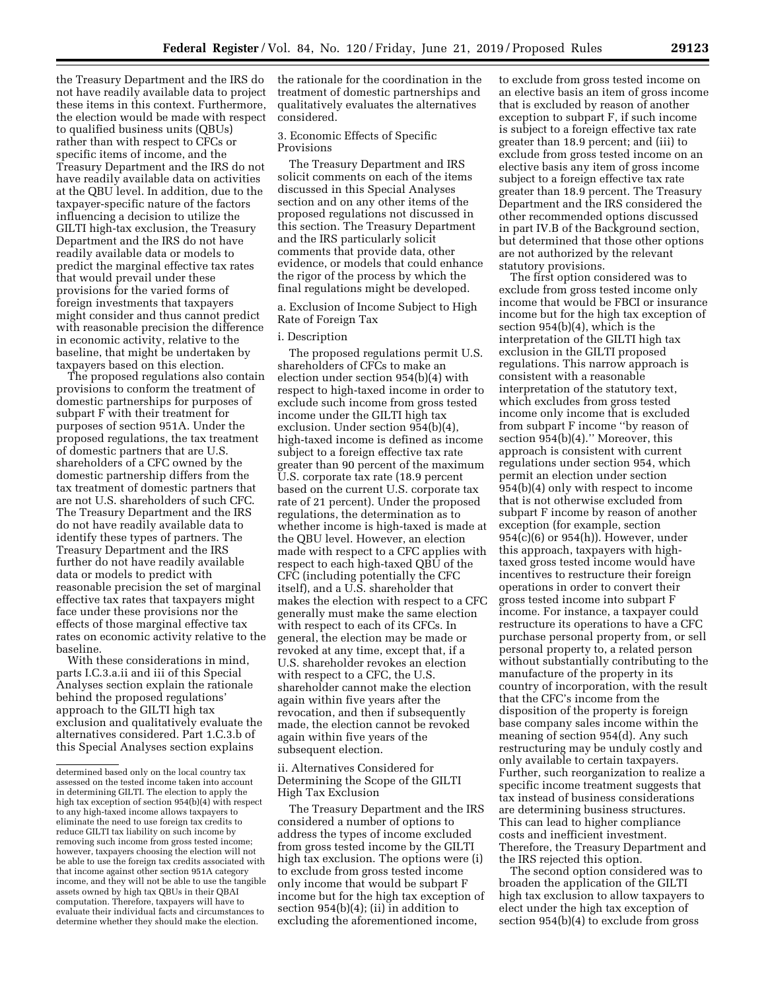the Treasury Department and the IRS do not have readily available data to project these items in this context. Furthermore, the election would be made with respect to qualified business units (QBUs) rather than with respect to CFCs or specific items of income, and the Treasury Department and the IRS do not have readily available data on activities at the QBU level. In addition, due to the taxpayer-specific nature of the factors influencing a decision to utilize the GILTI high-tax exclusion, the Treasury Department and the IRS do not have readily available data or models to predict the marginal effective tax rates that would prevail under these provisions for the varied forms of foreign investments that taxpayers might consider and thus cannot predict with reasonable precision the difference in economic activity, relative to the baseline, that might be undertaken by taxpayers based on this election.

The proposed regulations also contain provisions to conform the treatment of domestic partnerships for purposes of subpart F with their treatment for purposes of section 951A. Under the proposed regulations, the tax treatment of domestic partners that are U.S. shareholders of a CFC owned by the domestic partnership differs from the tax treatment of domestic partners that are not U.S. shareholders of such CFC. The Treasury Department and the IRS do not have readily available data to identify these types of partners. The Treasury Department and the IRS further do not have readily available data or models to predict with reasonable precision the set of marginal effective tax rates that taxpayers might face under these provisions nor the effects of those marginal effective tax rates on economic activity relative to the baseline.

With these considerations in mind, parts I.C.3.a.ii and iii of this Special Analyses section explain the rationale behind the proposed regulations' approach to the GILTI high tax exclusion and qualitatively evaluate the alternatives considered. Part 1.C.3.b of this Special Analyses section explains

the rationale for the coordination in the treatment of domestic partnerships and qualitatively evaluates the alternatives considered.

3. Economic Effects of Specific Provisions

The Treasury Department and IRS solicit comments on each of the items discussed in this Special Analyses section and on any other items of the proposed regulations not discussed in this section. The Treasury Department and the IRS particularly solicit comments that provide data, other evidence, or models that could enhance the rigor of the process by which the final regulations might be developed.

a. Exclusion of Income Subject to High Rate of Foreign Tax

### i. Description

The proposed regulations permit U.S. shareholders of CFCs to make an election under section 954(b)(4) with respect to high-taxed income in order to exclude such income from gross tested income under the GILTI high tax exclusion. Under section 954(b)(4), high-taxed income is defined as income subject to a foreign effective tax rate greater than 90 percent of the maximum U.S. corporate tax rate (18.9 percent based on the current U.S. corporate tax rate of 21 percent). Under the proposed regulations, the determination as to whether income is high-taxed is made at the QBU level. However, an election made with respect to a CFC applies with respect to each high-taxed QBU of the CFC (including potentially the CFC itself), and a U.S. shareholder that makes the election with respect to a CFC generally must make the same election with respect to each of its CFCs. In general, the election may be made or revoked at any time, except that, if a U.S. shareholder revokes an election with respect to a CFC, the U.S. shareholder cannot make the election again within five years after the revocation, and then if subsequently made, the election cannot be revoked again within five years of the subsequent election.

ii. Alternatives Considered for Determining the Scope of the GILTI High Tax Exclusion

The Treasury Department and the IRS considered a number of options to address the types of income excluded from gross tested income by the GILTI high tax exclusion. The options were (i) to exclude from gross tested income only income that would be subpart F income but for the high tax exception of section 954(b)(4); (ii) in addition to excluding the aforementioned income,

to exclude from gross tested income on an elective basis an item of gross income that is excluded by reason of another exception to subpart F, if such income is subject to a foreign effective tax rate greater than 18.9 percent; and (iii) to exclude from gross tested income on an elective basis any item of gross income subject to a foreign effective tax rate greater than 18.9 percent. The Treasury Department and the IRS considered the other recommended options discussed in part IV.B of the Background section, but determined that those other options are not authorized by the relevant statutory provisions.

The first option considered was to exclude from gross tested income only income that would be FBCI or insurance income but for the high tax exception of section 954(b)(4), which is the interpretation of the GILTI high tax exclusion in the GILTI proposed regulations. This narrow approach is consistent with a reasonable interpretation of the statutory text, which excludes from gross tested income only income that is excluded from subpart F income ''by reason of section 954(b)(4)." Moreover, this approach is consistent with current regulations under section 954, which permit an election under section 954(b)(4) only with respect to income that is not otherwise excluded from subpart F income by reason of another exception (for example, section 954(c)(6) or 954(h)). However, under this approach, taxpayers with hightaxed gross tested income would have incentives to restructure their foreign operations in order to convert their gross tested income into subpart F income. For instance, a taxpayer could restructure its operations to have a CFC purchase personal property from, or sell personal property to, a related person without substantially contributing to the manufacture of the property in its country of incorporation, with the result that the CFC's income from the disposition of the property is foreign base company sales income within the meaning of section 954(d). Any such restructuring may be unduly costly and only available to certain taxpayers. Further, such reorganization to realize a specific income treatment suggests that tax instead of business considerations are determining business structures. This can lead to higher compliance costs and inefficient investment. Therefore, the Treasury Department and the IRS rejected this option.

The second option considered was to broaden the application of the GILTI high tax exclusion to allow taxpayers to elect under the high tax exception of section 954(b)(4) to exclude from gross

determined based only on the local country tax assessed on the tested income taken into account in determining GILTI. The election to apply the high tax exception of section 954(b)(4) with respect to any high-taxed income allows taxpayers to eliminate the need to use foreign tax credits to reduce GILTI tax liability on such income by removing such income from gross tested income; however, taxpayers choosing the election will not be able to use the foreign tax credits associated with that income against other section 951A category income, and they will not be able to use the tangible assets owned by high tax QBUs in their QBAI computation. Therefore, taxpayers will have to evaluate their individual facts and circumstances to determine whether they should make the election.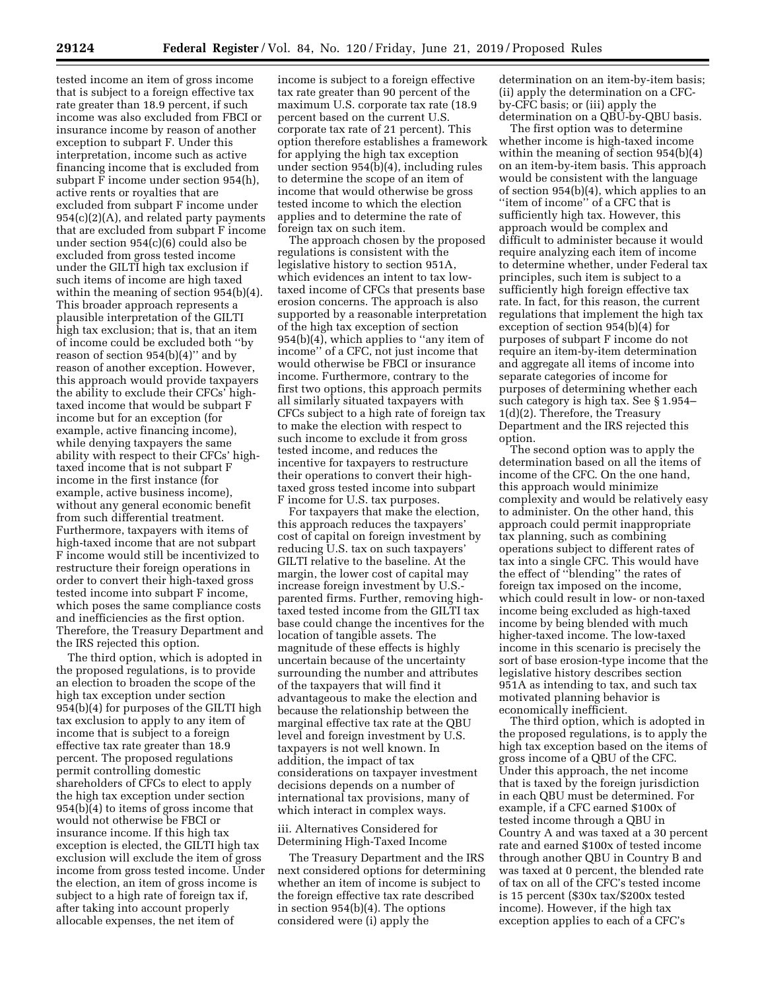tested income an item of gross income that is subject to a foreign effective tax rate greater than 18.9 percent, if such income was also excluded from FBCI or insurance income by reason of another exception to subpart F. Under this interpretation, income such as active financing income that is excluded from subpart F income under section 954(h), active rents or royalties that are excluded from subpart F income under  $954(c)(2)(A)$ , and related party payments that are excluded from subpart F income under section 954(c)(6) could also be excluded from gross tested income under the GILTI high tax exclusion if such items of income are high taxed within the meaning of section 954(b)(4). This broader approach represents a plausible interpretation of the GILTI high tax exclusion; that is, that an item of income could be excluded both ''by reason of section  $954(b)(4)$ " and by reason of another exception. However, this approach would provide taxpayers the ability to exclude their CFCs' hightaxed income that would be subpart F income but for an exception (for example, active financing income), while denying taxpayers the same ability with respect to their CFCs' hightaxed income that is not subpart F income in the first instance (for example, active business income), without any general economic benefit from such differential treatment. Furthermore, taxpayers with items of high-taxed income that are not subpart F income would still be incentivized to restructure their foreign operations in order to convert their high-taxed gross tested income into subpart F income, which poses the same compliance costs and inefficiencies as the first option. Therefore, the Treasury Department and the IRS rejected this option.

The third option, which is adopted in the proposed regulations, is to provide an election to broaden the scope of the high tax exception under section 954(b)(4) for purposes of the GILTI high tax exclusion to apply to any item of income that is subject to a foreign effective tax rate greater than 18.9 percent. The proposed regulations permit controlling domestic shareholders of CFCs to elect to apply the high tax exception under section 954(b)(4) to items of gross income that would not otherwise be FBCI or insurance income. If this high tax exception is elected, the GILTI high tax exclusion will exclude the item of gross income from gross tested income. Under the election, an item of gross income is subject to a high rate of foreign tax if, after taking into account properly allocable expenses, the net item of

income is subject to a foreign effective tax rate greater than 90 percent of the maximum U.S. corporate tax rate (18.9 percent based on the current U.S. corporate tax rate of 21 percent). This option therefore establishes a framework for applying the high tax exception under section 954(b)(4), including rules to determine the scope of an item of income that would otherwise be gross tested income to which the election applies and to determine the rate of foreign tax on such item.

The approach chosen by the proposed regulations is consistent with the legislative history to section 951A, which evidences an intent to tax lowtaxed income of CFCs that presents base erosion concerns. The approach is also supported by a reasonable interpretation of the high tax exception of section 954(b)(4), which applies to ''any item of income'' of a CFC, not just income that would otherwise be FBCI or insurance income. Furthermore, contrary to the first two options, this approach permits all similarly situated taxpayers with CFCs subject to a high rate of foreign tax to make the election with respect to such income to exclude it from gross tested income, and reduces the incentive for taxpayers to restructure their operations to convert their hightaxed gross tested income into subpart F income for U.S. tax purposes.

For taxpayers that make the election, this approach reduces the taxpayers' cost of capital on foreign investment by reducing U.S. tax on such taxpayers' GILTI relative to the baseline. At the margin, the lower cost of capital may increase foreign investment by U.S. parented firms. Further, removing hightaxed tested income from the GILTI tax base could change the incentives for the location of tangible assets. The magnitude of these effects is highly uncertain because of the uncertainty surrounding the number and attributes of the taxpayers that will find it advantageous to make the election and because the relationship between the marginal effective tax rate at the QBU level and foreign investment by U.S. taxpayers is not well known. In addition, the impact of tax considerations on taxpayer investment decisions depends on a number of international tax provisions, many of which interact in complex ways.

iii. Alternatives Considered for Determining High-Taxed Income

The Treasury Department and the IRS next considered options for determining whether an item of income is subject to the foreign effective tax rate described in section 954(b)(4). The options considered were (i) apply the

determination on an item-by-item basis; (ii) apply the determination on a CFCby-CFC basis; or (iii) apply the determination on a QBU-by-QBU basis.

The first option was to determine whether income is high-taxed income within the meaning of section 954(b)(4) on an item-by-item basis. This approach would be consistent with the language of section 954(b)(4), which applies to an ''item of income'' of a CFC that is sufficiently high tax. However, this approach would be complex and difficult to administer because it would require analyzing each item of income to determine whether, under Federal tax principles, such item is subject to a sufficiently high foreign effective tax rate. In fact, for this reason, the current regulations that implement the high tax exception of section 954(b)(4) for purposes of subpart F income do not require an item-by-item determination and aggregate all items of income into separate categories of income for purposes of determining whether each such category is high tax. See § 1.954– 1(d)(2). Therefore, the Treasury Department and the IRS rejected this option.

The second option was to apply the determination based on all the items of income of the CFC. On the one hand, this approach would minimize complexity and would be relatively easy to administer. On the other hand, this approach could permit inappropriate tax planning, such as combining operations subject to different rates of tax into a single CFC. This would have the effect of ''blending'' the rates of foreign tax imposed on the income, which could result in low- or non-taxed income being excluded as high-taxed income by being blended with much higher-taxed income. The low-taxed income in this scenario is precisely the sort of base erosion-type income that the legislative history describes section 951A as intending to tax, and such tax motivated planning behavior is economically inefficient.

The third option, which is adopted in the proposed regulations, is to apply the high tax exception based on the items of gross income of a QBU of the CFC. Under this approach, the net income that is taxed by the foreign jurisdiction in each QBU must be determined. For example, if a CFC earned \$100x of tested income through a QBU in Country A and was taxed at a 30 percent rate and earned \$100x of tested income through another QBU in Country B and was taxed at 0 percent, the blended rate of tax on all of the CFC's tested income is 15 percent (\$30x tax/\$200x tested income). However, if the high tax exception applies to each of a CFC's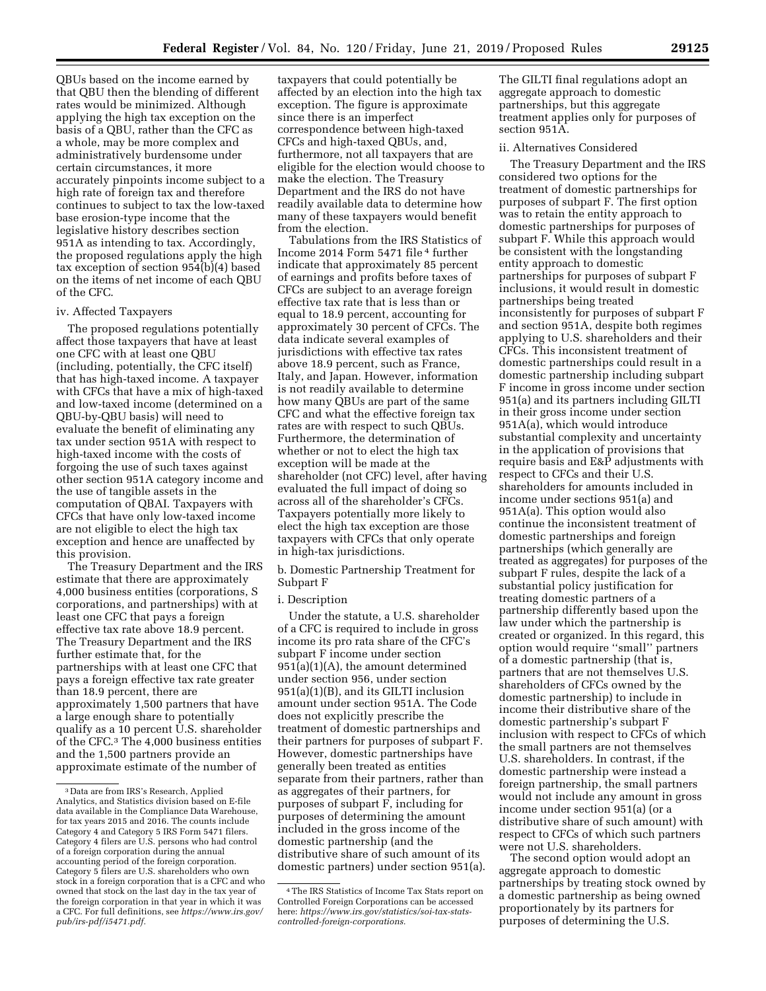QBUs based on the income earned by that QBU then the blending of different rates would be minimized. Although applying the high tax exception on the basis of a QBU, rather than the CFC as a whole, may be more complex and administratively burdensome under certain circumstances, it more accurately pinpoints income subject to a high rate of foreign tax and therefore continues to subject to tax the low-taxed base erosion-type income that the legislative history describes section 951A as intending to tax. Accordingly, the proposed regulations apply the high tax exception of section 954(b)(4) based on the items of net income of each QBU of the CFC.

# iv. Affected Taxpayers

The proposed regulations potentially affect those taxpayers that have at least one CFC with at least one QBU (including, potentially, the CFC itself) that has high-taxed income. A taxpayer with CFCs that have a mix of high-taxed and low-taxed income (determined on a QBU-by-QBU basis) will need to evaluate the benefit of eliminating any tax under section 951A with respect to high-taxed income with the costs of forgoing the use of such taxes against other section 951A category income and the use of tangible assets in the computation of QBAI. Taxpayers with CFCs that have only low-taxed income are not eligible to elect the high tax exception and hence are unaffected by this provision.

The Treasury Department and the IRS estimate that there are approximately 4,000 business entities (corporations, S corporations, and partnerships) with at least one CFC that pays a foreign effective tax rate above 18.9 percent. The Treasury Department and the IRS further estimate that, for the partnerships with at least one CFC that pays a foreign effective tax rate greater than 18.9 percent, there are approximately 1,500 partners that have a large enough share to potentially qualify as a 10 percent U.S. shareholder of the CFC.3 The 4,000 business entities and the 1,500 partners provide an approximate estimate of the number of

taxpayers that could potentially be affected by an election into the high tax exception. The figure is approximate since there is an imperfect correspondence between high-taxed CFCs and high-taxed QBUs, and, furthermore, not all taxpayers that are eligible for the election would choose to make the election. The Treasury Department and the IRS do not have readily available data to determine how many of these taxpayers would benefit from the election.

Tabulations from the IRS Statistics of Income 2014 Form 5471 file 4 further indicate that approximately 85 percent of earnings and profits before taxes of CFCs are subject to an average foreign effective tax rate that is less than or equal to 18.9 percent, accounting for approximately 30 percent of CFCs. The data indicate several examples of jurisdictions with effective tax rates above 18.9 percent, such as France, Italy, and Japan. However, information is not readily available to determine how many QBUs are part of the same CFC and what the effective foreign tax rates are with respect to such QBUs. Furthermore, the determination of whether or not to elect the high tax exception will be made at the shareholder (not CFC) level, after having evaluated the full impact of doing so across all of the shareholder's CFCs. Taxpayers potentially more likely to elect the high tax exception are those taxpayers with CFCs that only operate in high-tax jurisdictions.

b. Domestic Partnership Treatment for Subpart F

#### i. Description

Under the statute, a U.S. shareholder of a CFC is required to include in gross income its pro rata share of the CFC's subpart F income under section 951(a)(1)(A), the amount determined under section 956, under section 951(a)(1)(B), and its GILTI inclusion amount under section 951A. The Code does not explicitly prescribe the treatment of domestic partnerships and their partners for purposes of subpart F. However, domestic partnerships have generally been treated as entities separate from their partners, rather than as aggregates of their partners, for purposes of subpart F, including for purposes of determining the amount included in the gross income of the domestic partnership (and the distributive share of such amount of its domestic partners) under section 951(a). The GILTI final regulations adopt an aggregate approach to domestic partnerships, but this aggregate treatment applies only for purposes of section 951A.

#### ii. Alternatives Considered

The Treasury Department and the IRS considered two options for the treatment of domestic partnerships for purposes of subpart F. The first option was to retain the entity approach to domestic partnerships for purposes of subpart F. While this approach would be consistent with the longstanding entity approach to domestic partnerships for purposes of subpart F inclusions, it would result in domestic partnerships being treated inconsistently for purposes of subpart F and section 951A, despite both regimes applying to U.S. shareholders and their CFCs. This inconsistent treatment of domestic partnerships could result in a domestic partnership including subpart F income in gross income under section 951(a) and its partners including GILTI in their gross income under section 951A(a), which would introduce substantial complexity and uncertainty in the application of provisions that require basis and E&P adjustments with respect to CFCs and their U.S. shareholders for amounts included in income under sections 951(a) and 951A(a). This option would also continue the inconsistent treatment of domestic partnerships and foreign partnerships (which generally are treated as aggregates) for purposes of the subpart F rules, despite the lack of a substantial policy justification for treating domestic partners of a partnership differently based upon the law under which the partnership is created or organized. In this regard, this option would require ''small'' partners of a domestic partnership (that is, partners that are not themselves U.S. shareholders of CFCs owned by the domestic partnership) to include in income their distributive share of the domestic partnership's subpart F inclusion with respect to CFCs of which the small partners are not themselves U.S. shareholders. In contrast, if the domestic partnership were instead a foreign partnership, the small partners would not include any amount in gross income under section 951(a) (or a distributive share of such amount) with respect to CFCs of which such partners were not U.S. shareholders.

The second option would adopt an aggregate approach to domestic partnerships by treating stock owned by a domestic partnership as being owned proportionately by its partners for purposes of determining the U.S.

<sup>3</sup> Data are from IRS's Research, Applied Analytics, and Statistics division based on E-file data available in the Compliance Data Warehouse, for tax years 2015 and 2016. The counts include Category 4 and Category 5 IRS Form 5471 filers. Category 4 filers are U.S. persons who had control of a foreign corporation during the annual accounting period of the foreign corporation. Category 5 filers are U.S. shareholders who own stock in a foreign corporation that is a CFC and who owned that stock on the last day in the tax year of the foreign corporation in that year in which it was a CFC. For full definitions, see *[https://www.irs.gov/](https://www.irs.gov/pub/irs-pdf/i5471.pdf) [pub/irs-pdf/i5471.pdf.](https://www.irs.gov/pub/irs-pdf/i5471.pdf)* 

<sup>4</sup>The IRS Statistics of Income Tax Stats report on Controlled Foreign Corporations can be accessed here: *[https://www.irs.gov/statistics/soi-tax-stats](https://www.irs.gov/statistics/soi-tax-stats-controlled-foreign-corporations)[controlled-foreign-corporations.](https://www.irs.gov/statistics/soi-tax-stats-controlled-foreign-corporations)*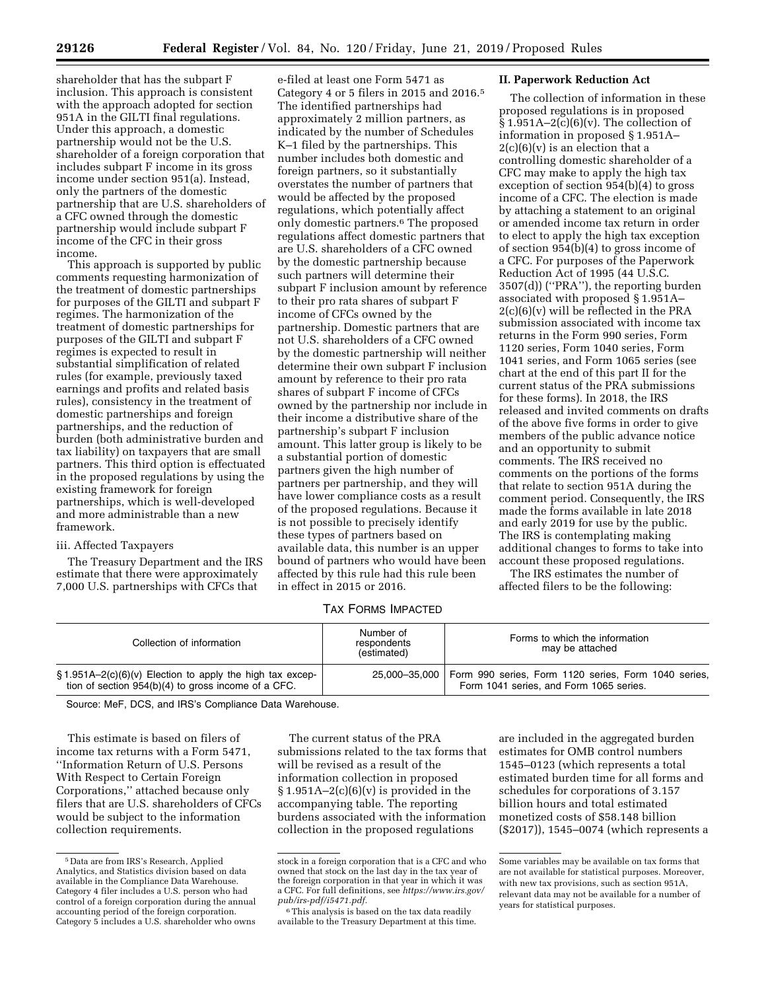shareholder that has the subpart F inclusion. This approach is consistent with the approach adopted for section 951A in the GILTI final regulations. Under this approach, a domestic partnership would not be the U.S. shareholder of a foreign corporation that includes subpart F income in its gross income under section 951(a). Instead, only the partners of the domestic partnership that are U.S. shareholders of a CFC owned through the domestic partnership would include subpart F income of the CFC in their gross income.

This approach is supported by public comments requesting harmonization of the treatment of domestic partnerships for purposes of the GILTI and subpart F regimes. The harmonization of the treatment of domestic partnerships for purposes of the GILTI and subpart F regimes is expected to result in substantial simplification of related rules (for example, previously taxed earnings and profits and related basis rules), consistency in the treatment of domestic partnerships and foreign partnerships, and the reduction of burden (both administrative burden and tax liability) on taxpayers that are small partners. This third option is effectuated in the proposed regulations by using the existing framework for foreign partnerships, which is well-developed and more administrable than a new framework.

# iii. Affected Taxpayers

The Treasury Department and the IRS estimate that there were approximately 7,000 U.S. partnerships with CFCs that

e-filed at least one Form 5471 as Category 4 or 5 filers in 2015 and 2016.5 The identified partnerships had approximately 2 million partners, as indicated by the number of Schedules K–1 filed by the partnerships. This number includes both domestic and foreign partners, so it substantially overstates the number of partners that would be affected by the proposed regulations, which potentially affect only domestic partners.6 The proposed regulations affect domestic partners that are U.S. shareholders of a CFC owned by the domestic partnership because such partners will determine their subpart F inclusion amount by reference to their pro rata shares of subpart F income of CFCs owned by the partnership. Domestic partners that are not U.S. shareholders of a CFC owned by the domestic partnership will neither determine their own subpart F inclusion amount by reference to their pro rata shares of subpart F income of CFCs owned by the partnership nor include in their income a distributive share of the partnership's subpart F inclusion amount. This latter group is likely to be a substantial portion of domestic partners given the high number of partners per partnership, and they will have lower compliance costs as a result of the proposed regulations. Because it is not possible to precisely identify these types of partners based on available data, this number is an upper bound of partners who would have been affected by this rule had this rule been in effect in 2015 or 2016.

# **II. Paperwork Reduction Act**

The collection of information in these proposed regulations is in proposed  $\S 1.951A-2(c)(6)(v)$ . The collection of information in proposed § 1.951A–  $2(c)(6)(v)$  is an election that a controlling domestic shareholder of a CFC may make to apply the high tax exception of section 954(b)(4) to gross income of a CFC. The election is made by attaching a statement to an original or amended income tax return in order to elect to apply the high tax exception of section 954(b)(4) to gross income of a CFC. For purposes of the Paperwork Reduction Act of 1995 (44 U.S.C. 3507(d)) (''PRA''), the reporting burden associated with proposed § 1.951A– 2(c)(6)(v) will be reflected in the PRA submission associated with income tax returns in the Form 990 series, Form 1120 series, Form 1040 series, Form 1041 series, and Form 1065 series (see chart at the end of this part II for the current status of the PRA submissions for these forms). In 2018, the IRS released and invited comments on drafts of the above five forms in order to give members of the public advance notice and an opportunity to submit comments. The IRS received no comments on the portions of the forms that relate to section 951A during the comment period. Consequently, the IRS made the forms available in late 2018 and early 2019 for use by the public. The IRS is contemplating making additional changes to forms to take into account these proposed regulations.

The IRS estimates the number of affected filers to be the following:

### TAX FORMS IMPACTED

| Collection of information                                                                                           | Number of<br>respondents<br>(estimated) | Forms to which the information<br>may be attached                                                               |  |  |  |
|---------------------------------------------------------------------------------------------------------------------|-----------------------------------------|-----------------------------------------------------------------------------------------------------------------|--|--|--|
| $\S$ 1.951A–2(c)(6)(v) Election to apply the high tax excep-<br>tion of section 954(b)(4) to gross income of a CFC. |                                         | 25,000-35,000   Form 990 series, Form 1120 series, Form 1040 series,<br>Form 1041 series, and Form 1065 series. |  |  |  |

Source: MeF, DCS, and IRS's Compliance Data Warehouse.

This estimate is based on filers of income tax returns with a Form 5471, ''Information Return of U.S. Persons With Respect to Certain Foreign Corporations,'' attached because only filers that are U.S. shareholders of CFCs would be subject to the information collection requirements.

The current status of the PRA submissions related to the tax forms that will be revised as a result of the information collection in proposed  $§ 1.951A - 2(c)(6)(v)$  is provided in the accompanying table. The reporting burdens associated with the information collection in the proposed regulations

are included in the aggregated burden estimates for OMB control numbers 1545–0123 (which represents a total estimated burden time for all forms and schedules for corporations of 3.157 billion hours and total estimated monetized costs of \$58.148 billion (\$2017)), 1545–0074 (which represents a

<sup>5</sup> Data are from IRS's Research, Applied Analytics, and Statistics division based on data available in the Compliance Data Warehouse. Category 4 filer includes a U.S. person who had control of a foreign corporation during the annual accounting period of the foreign corporation. Category 5 includes a U.S. shareholder who owns

stock in a foreign corporation that is a CFC and who owned that stock on the last day in the tax year of the foreign corporation in that year in which it was a CFC. For full definitions, see *[https://www.irs.gov/](https://www.irs.gov/pub/irs-pdf/i5471.pdf) [pub/irs-pdf/i5471.pdf.](https://www.irs.gov/pub/irs-pdf/i5471.pdf)* 

<sup>6</sup>This analysis is based on the tax data readily available to the Treasury Department at this time.

Some variables may be available on tax forms that are not available for statistical purposes. Moreover, with new tax provisions, such as section 951A, relevant data may not be available for a number of years for statistical purposes.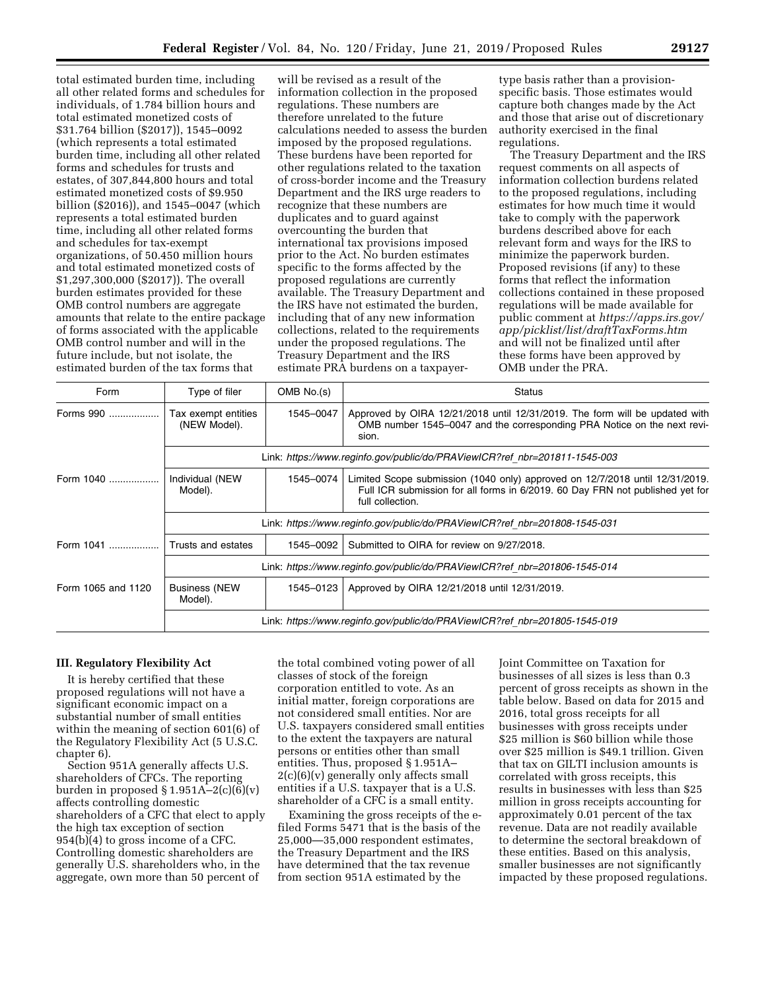total estimated burden time, including all other related forms and schedules for individuals, of 1.784 billion hours and total estimated monetized costs of \$31.764 billion (\$2017)), 1545–0092 (which represents a total estimated burden time, including all other related forms and schedules for trusts and estates, of 307,844,800 hours and total estimated monetized costs of \$9.950 billion (\$2016)), and 1545–0047 (which represents a total estimated burden time, including all other related forms and schedules for tax-exempt organizations, of 50.450 million hours and total estimated monetized costs of \$1,297,300,000 (\$2017)). The overall burden estimates provided for these OMB control numbers are aggregate amounts that relate to the entire package of forms associated with the applicable OMB control number and will in the future include, but not isolate, the estimated burden of the tax forms that

will be revised as a result of the information collection in the proposed regulations. These numbers are therefore unrelated to the future calculations needed to assess the burden imposed by the proposed regulations. These burdens have been reported for other regulations related to the taxation of cross-border income and the Treasury Department and the IRS urge readers to recognize that these numbers are duplicates and to guard against overcounting the burden that international tax provisions imposed prior to the Act. No burden estimates specific to the forms affected by the proposed regulations are currently available. The Treasury Department and the IRS have not estimated the burden, including that of any new information collections, related to the requirements under the proposed regulations. The Treasury Department and the IRS estimate PRA burdens on a taxpayer-

type basis rather than a provisionspecific basis. Those estimates would capture both changes made by the Act and those that arise out of discretionary authority exercised in the final regulations.

The Treasury Department and the IRS request comments on all aspects of information collection burdens related to the proposed regulations, including estimates for how much time it would take to comply with the paperwork burdens described above for each relevant form and ways for the IRS to minimize the paperwork burden. Proposed revisions (if any) to these forms that reflect the information collections contained in these proposed regulations will be made available for public comment at *[https://apps.irs.gov/](https://apps.irs.gov/app/picklist/list/draftTaxForms.htm) [app/picklist/list/draftTaxForms.htm](https://apps.irs.gov/app/picklist/list/draftTaxForms.htm)*  and will not be finalized until after these forms have been approved by OMB under the PRA.

| Form               | Type of filer                                                              | OMB No.(s) | <b>Status</b>                                                                                                                                                                     |  |  |  |  |
|--------------------|----------------------------------------------------------------------------|------------|-----------------------------------------------------------------------------------------------------------------------------------------------------------------------------------|--|--|--|--|
| Forms 990          | Tax exempt entities<br>(NEW Model).                                        | 1545-0047  | Approved by OIRA 12/21/2018 until 12/31/2019. The form will be updated with<br>OMB number 1545–0047 and the corresponding PRA Notice on the next revi-<br>sion.                   |  |  |  |  |
|                    | Link: https://www.reginfo.gov/public/do/PRAViewICR?ref nbr=201811-1545-003 |            |                                                                                                                                                                                   |  |  |  |  |
| Form 1040          | Individual (NEW<br>Model).                                                 | 1545-0074  | Limited Scope submission (1040 only) approved on 12/7/2018 until 12/31/2019.<br>Full ICR submission for all forms in 6/2019. 60 Day FRN not published yet for<br>full collection. |  |  |  |  |
|                    | Link: https://www.reginfo.gov/public/do/PRAViewICR?ref nbr=201808-1545-031 |            |                                                                                                                                                                                   |  |  |  |  |
| Form 1041          | Trusts and estates                                                         | 1545-0092  | Submitted to OIRA for review on 9/27/2018.                                                                                                                                        |  |  |  |  |
|                    | Link: https://www.reginfo.gov/public/do/PRAViewICR?ref nbr=201806-1545-014 |            |                                                                                                                                                                                   |  |  |  |  |
| Form 1065 and 1120 | <b>Business (NEW</b><br>Model).                                            | 1545-0123  | Approved by OIRA 12/21/2018 until 12/31/2019.                                                                                                                                     |  |  |  |  |
|                    | Link: https://www.reginfo.gov/public/do/PRAViewICR?ref nbr=201805-1545-019 |            |                                                                                                                                                                                   |  |  |  |  |

### **III. Regulatory Flexibility Act**

It is hereby certified that these proposed regulations will not have a significant economic impact on a substantial number of small entities within the meaning of section 601(6) of the Regulatory Flexibility Act (5 U.S.C. chapter 6).

Section 951A generally affects U.S. shareholders of CFCs. The reporting burden in proposed  $\S 1.951A - 2(c)(6)(v)$ affects controlling domestic shareholders of a CFC that elect to apply the high tax exception of section 954(b)(4) to gross income of a CFC. Controlling domestic shareholders are generally U.S. shareholders who, in the aggregate, own more than 50 percent of

the total combined voting power of all classes of stock of the foreign corporation entitled to vote. As an initial matter, foreign corporations are not considered small entities. Nor are U.S. taxpayers considered small entities to the extent the taxpayers are natural persons or entities other than small entities. Thus, proposed § 1.951A–  $2(c)(6)(v)$  generally only affects small entities if a U.S. taxpayer that is a U.S. shareholder of a CFC is a small entity.

Examining the gross receipts of the efiled Forms 5471 that is the basis of the 25,000—35,000 respondent estimates, the Treasury Department and the IRS have determined that the tax revenue from section 951A estimated by the

Joint Committee on Taxation for businesses of all sizes is less than 0.3 percent of gross receipts as shown in the table below. Based on data for 2015 and 2016, total gross receipts for all businesses with gross receipts under \$25 million is \$60 billion while those over \$25 million is \$49.1 trillion. Given that tax on GILTI inclusion amounts is correlated with gross receipts, this results in businesses with less than \$25 million in gross receipts accounting for approximately 0.01 percent of the tax revenue. Data are not readily available to determine the sectoral breakdown of these entities. Based on this analysis, smaller businesses are not significantly impacted by these proposed regulations.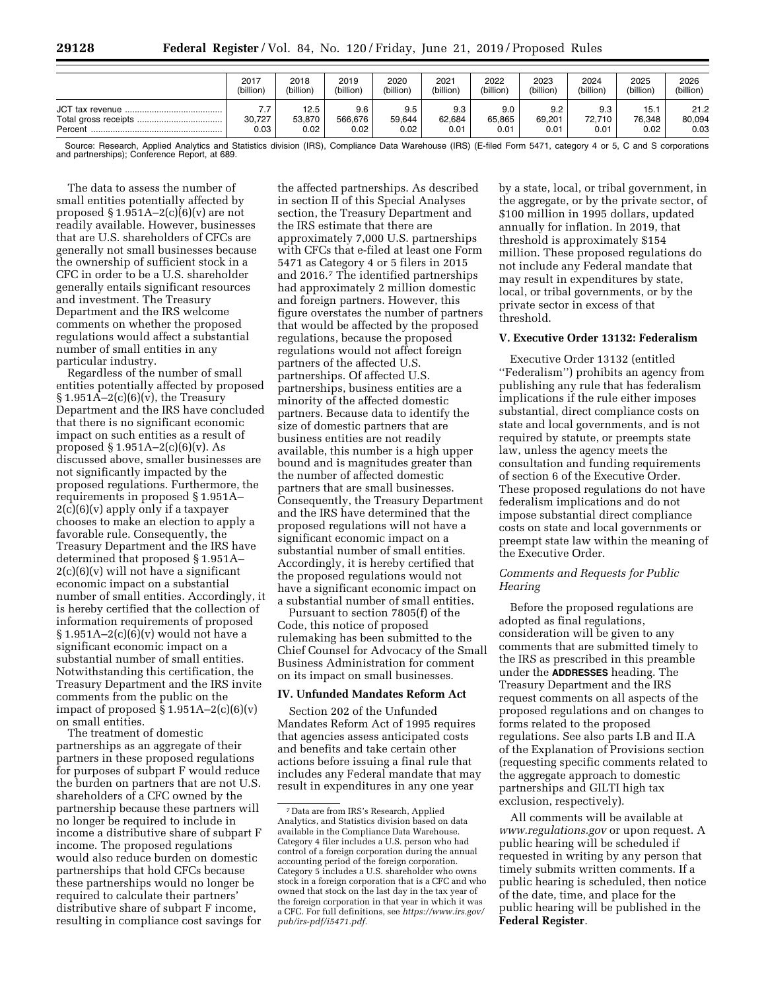|         | 2017           | 2018                   | 2019                   | 2020                  | 2021                  | 2022                  | 2023                  | 2024                      | 2025                   | 2026                   |
|---------|----------------|------------------------|------------------------|-----------------------|-----------------------|-----------------------|-----------------------|---------------------------|------------------------|------------------------|
|         | (billion)      | (billion)              | (billion)              | (billion)             | (billion)             | (billion)             | (billion)             | (billion)                 | (billion)              | (billion)              |
| Percent | 30.727<br>0.03 | 12.5<br>53.870<br>0.02 | 9.6<br>566.676<br>0.02 | 9.5<br>59.644<br>0.02 | 9.3<br>62.684<br>0.01 | 9.0<br>65.865<br>0.01 | 9.2<br>69.201<br>0.01 | 9.3<br>$72.710 +$<br>0.01 | 15.1<br>76.348<br>0.02 | 21.2<br>80,094<br>0.03 |

Source: Research, Applied Analytics and Statistics division (IRS), Compliance Data Warehouse (IRS) (E-filed Form 5471, category 4 or 5, C and S corporations and partnerships); Conference Report, at 689.

The data to assess the number of small entities potentially affected by proposed  $\S 1.951A - 2(c)(6)(v)$  are not readily available. However, businesses that are U.S. shareholders of CFCs are generally not small businesses because the ownership of sufficient stock in a CFC in order to be a U.S. shareholder generally entails significant resources and investment. The Treasury Department and the IRS welcome comments on whether the proposed regulations would affect a substantial number of small entities in any particular industry.

Regardless of the number of small entities potentially affected by proposed  $\S 1.951A - 2(c)(6)(v)$ , the Treasury Department and the IRS have concluded that there is no significant economic impact on such entities as a result of proposed § 1.951A–2(c)(6)(v). As discussed above, smaller businesses are not significantly impacted by the proposed regulations. Furthermore, the requirements in proposed § 1.951A– 2(c)(6)(v) apply only if a taxpayer chooses to make an election to apply a favorable rule. Consequently, the Treasury Department and the IRS have determined that proposed § 1.951A–  $2(c)(6)(v)$  will not have a significant economic impact on a substantial number of small entities. Accordingly, it is hereby certified that the collection of information requirements of proposed  $\S 1.951A - 2(c)(6)(v)$  would not have a significant economic impact on a substantial number of small entities. Notwithstanding this certification, the Treasury Department and the IRS invite comments from the public on the impact of proposed  $\S 1.951A - 2(c)(6)(v)$ on small entities.

The treatment of domestic partnerships as an aggregate of their partners in these proposed regulations for purposes of subpart F would reduce the burden on partners that are not U.S. shareholders of a CFC owned by the partnership because these partners will no longer be required to include in income a distributive share of subpart F income. The proposed regulations would also reduce burden on domestic partnerships that hold CFCs because these partnerships would no longer be required to calculate their partners' distributive share of subpart F income, resulting in compliance cost savings for

the affected partnerships. As described in section II of this Special Analyses section, the Treasury Department and the IRS estimate that there are approximately 7,000 U.S. partnerships with CFCs that e-filed at least one Form 5471 as Category 4 or 5 filers in 2015 and 2016.7 The identified partnerships had approximately 2 million domestic and foreign partners. However, this figure overstates the number of partners that would be affected by the proposed regulations, because the proposed regulations would not affect foreign partners of the affected U.S. partnerships. Of affected U.S. partnerships, business entities are a minority of the affected domestic partners. Because data to identify the size of domestic partners that are business entities are not readily available, this number is a high upper bound and is magnitudes greater than the number of affected domestic partners that are small businesses. Consequently, the Treasury Department and the IRS have determined that the proposed regulations will not have a significant economic impact on a substantial number of small entities. Accordingly, it is hereby certified that the proposed regulations would not have a significant economic impact on a substantial number of small entities.

Pursuant to section 7805(f) of the Code, this notice of proposed rulemaking has been submitted to the Chief Counsel for Advocacy of the Small Business Administration for comment on its impact on small businesses.

### **IV. Unfunded Mandates Reform Act**

Section 202 of the Unfunded Mandates Reform Act of 1995 requires that agencies assess anticipated costs and benefits and take certain other actions before issuing a final rule that includes any Federal mandate that may result in expenditures in any one year

by a state, local, or tribal government, in the aggregate, or by the private sector, of \$100 million in 1995 dollars, updated annually for inflation. In 2019, that threshold is approximately \$154 million. These proposed regulations do not include any Federal mandate that may result in expenditures by state, local, or tribal governments, or by the private sector in excess of that threshold.

# **V. Executive Order 13132: Federalism**

Executive Order 13132 (entitled ''Federalism'') prohibits an agency from publishing any rule that has federalism implications if the rule either imposes substantial, direct compliance costs on state and local governments, and is not required by statute, or preempts state law, unless the agency meets the consultation and funding requirements of section 6 of the Executive Order. These proposed regulations do not have federalism implications and do not impose substantial direct compliance costs on state and local governments or preempt state law within the meaning of the Executive Order.

# *Comments and Requests for Public Hearing*

Before the proposed regulations are adopted as final regulations, consideration will be given to any comments that are submitted timely to the IRS as prescribed in this preamble under the **ADDRESSES** heading. The Treasury Department and the IRS request comments on all aspects of the proposed regulations and on changes to forms related to the proposed regulations. See also parts I.B and II.A of the Explanation of Provisions section (requesting specific comments related to the aggregate approach to domestic partnerships and GILTI high tax exclusion, respectively).

All comments will be available at *[www.regulations.gov](http://www.regulations.gov)* or upon request. A public hearing will be scheduled if requested in writing by any person that timely submits written comments. If a public hearing is scheduled, then notice of the date, time, and place for the public hearing will be published in the **Federal Register**.

<sup>7</sup> Data are from IRS's Research, Applied Analytics, and Statistics division based on data available in the Compliance Data Warehouse. Category 4 filer includes a U.S. person who had control of a foreign corporation during the annual accounting period of the foreign corporation. Category 5 includes a U.S. shareholder who owns stock in a foreign corporation that is a CFC and who owned that stock on the last day in the tax year of the foreign corporation in that year in which it was a CFC. For full definitions, see *[https://www.irs.gov/](https://www.irs.gov/pub/irs-pdf/i5471.pdf) [pub/irs-pdf/i5471.pdf.](https://www.irs.gov/pub/irs-pdf/i5471.pdf)*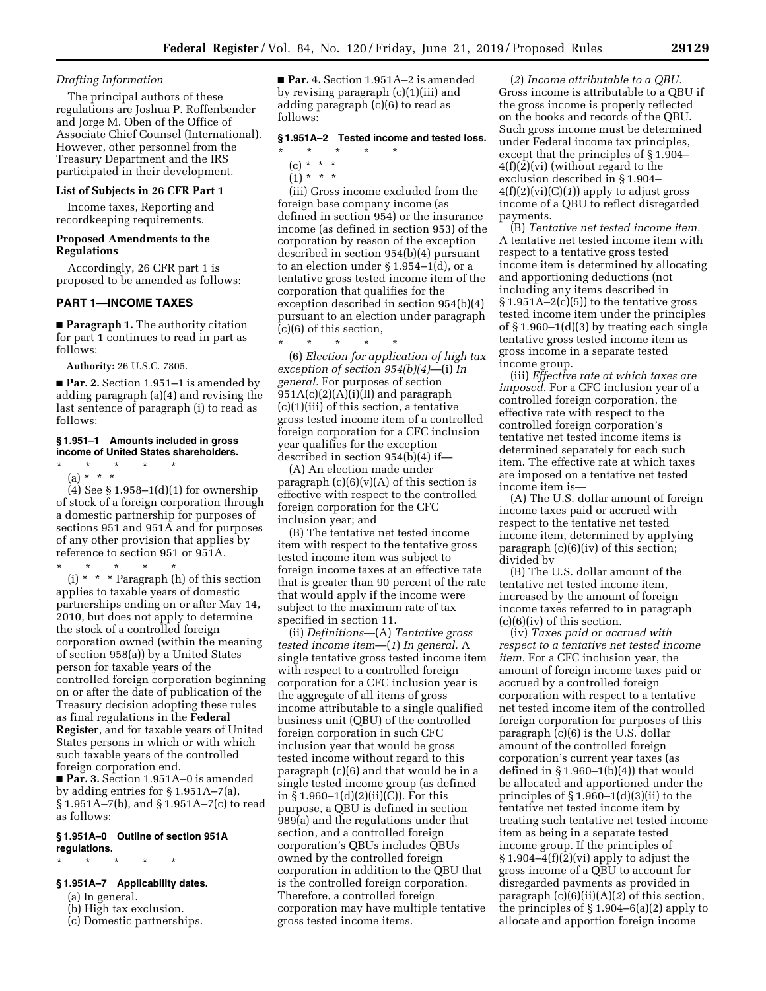# *Drafting Information*

The principal authors of these regulations are Joshua P. Roffenbender and Jorge M. Oben of the Office of Associate Chief Counsel (International). However, other personnel from the Treasury Department and the IRS participated in their development.

#### **List of Subjects in 26 CFR Part 1**

Income taxes, Reporting and recordkeeping requirements.

# **Proposed Amendments to the Regulations**

Accordingly, 26 CFR part 1 is proposed to be amended as follows:

### **PART 1—INCOME TAXES**

■ **Paragraph 1.** The authority citation for part 1 continues to read in part as follows:

**Authority:** 26 U.S.C. 7805.

■ **Par. 2.** Section 1.951–1 is amended by adding paragraph (a)(4) and revising the last sentence of paragraph (i) to read as follows:

### **§ 1.951–1 Amounts included in gross income of United States shareholders.**

\* \* \* \* \*

(a) \* \* \*  $(4)$  See § 1.958–1 $(d)(1)$  for ownership of stock of a foreign corporation through a domestic partnership for purposes of sections 951 and 951A and for purposes of any other provision that applies by reference to section 951 or 951A.

\* \* \* \* \*

(i) \* \* \* Paragraph (h) of this section applies to taxable years of domestic partnerships ending on or after May 14, 2010, but does not apply to determine the stock of a controlled foreign corporation owned (within the meaning of section 958(a)) by a United States person for taxable years of the controlled foreign corporation beginning on or after the date of publication of the Treasury decision adopting these rules as final regulations in the **Federal Register**, and for taxable years of United States persons in which or with which such taxable years of the controlled foreign corporation end.

■ **Par. 3.** Section 1.951A–0 is amended by adding entries for § 1.951A–7(a), § 1.951A–7(b), and § 1.951A–7(c) to read as follows:

#### **§ 1.951A–0 Outline of section 951A regulations.**

### \* \* \* \* \*

# **§ 1.951A–7 Applicability dates.**

(a) In general.

- (b) High tax exclusion.
- (c) Domestic partnerships.

■ **Par. 4.** Section 1.951A–2 is amended by revising paragraph (c)(1)(iii) and adding paragraph (c)(6) to read as follows:

# **§ 1.951A–2 Tested income and tested loss.**

- \* \* \* \* \*
	- (c) \* \* \*
	- $(1) * * * *$

(iii) Gross income excluded from the foreign base company income (as defined in section 954) or the insurance income (as defined in section 953) of the corporation by reason of the exception described in section 954(b)(4) pursuant to an election under § 1.954–1(d), or a tentative gross tested income item of the corporation that qualifies for the exception described in section 954(b)(4) pursuant to an election under paragraph (c)(6) of this section,

\* \* \* \* \* (6) *Election for application of high tax exception of section 954(b)(4)*—(i) *In general.* For purposes of section 951A(c)(2)(A)(i)(II) and paragraph (c)(1)(iii) of this section, a tentative gross tested income item of a controlled foreign corporation for a CFC inclusion year qualifies for the exception described in section 954(b)(4) if—

(A) An election made under paragraph  $(c)(6)(v)(A)$  of this section is effective with respect to the controlled foreign corporation for the CFC inclusion year; and

(B) The tentative net tested income item with respect to the tentative gross tested income item was subject to foreign income taxes at an effective rate that is greater than 90 percent of the rate that would apply if the income were subject to the maximum rate of tax specified in section 11.

(ii) *Definitions*—(A) *Tentative gross tested income item*—(*1*) *In general.* A single tentative gross tested income item with respect to a controlled foreign corporation for a CFC inclusion year is the aggregate of all items of gross income attributable to a single qualified business unit (QBU) of the controlled foreign corporation in such CFC inclusion year that would be gross tested income without regard to this paragraph (c)(6) and that would be in a single tested income group (as defined in § 1.960–1(d)(2)(ii)(C)). For this purpose, a QBU is defined in section 989(a) and the regulations under that section, and a controlled foreign corporation's QBUs includes QBUs owned by the controlled foreign corporation in addition to the QBU that is the controlled foreign corporation. Therefore, a controlled foreign corporation may have multiple tentative gross tested income items.

(*2*) *Income attributable to a QBU.*  Gross income is attributable to a QBU if the gross income is properly reflected on the books and records of the QBU. Such gross income must be determined under Federal income tax principles, except that the principles of § 1.904– 4(f)(2)(vi) (without regard to the exclusion described in § 1.904– 4(f)(2)(vi)(C)(*1*)) apply to adjust gross income of a QBU to reflect disregarded payments.

(B) *Tentative net tested income item.*  A tentative net tested income item with respect to a tentative gross tested income item is determined by allocating and apportioning deductions (not including any items described in  $§ 1.951A - 2(c)(5))$  to the tentative gross tested income item under the principles of § 1.960–1(d)(3) by treating each single tentative gross tested income item as gross income in a separate tested income group.

(iii) *Effective rate at which taxes are imposed.* For a CFC inclusion year of a controlled foreign corporation, the effective rate with respect to the controlled foreign corporation's tentative net tested income items is determined separately for each such item. The effective rate at which taxes are imposed on a tentative net tested income item is—

(A) The U.S. dollar amount of foreign income taxes paid or accrued with respect to the tentative net tested income item, determined by applying paragraph (c)(6)(iv) of this section; divided by

(B) The U.S. dollar amount of the tentative net tested income item, increased by the amount of foreign income taxes referred to in paragraph (c)(6)(iv) of this section.

(iv) *Taxes paid or accrued with respect to a tentative net tested income item.* For a CFC inclusion year, the amount of foreign income taxes paid or accrued by a controlled foreign corporation with respect to a tentative net tested income item of the controlled foreign corporation for purposes of this paragraph  $(c)(6)$  is the U.S. dollar amount of the controlled foreign corporation's current year taxes (as defined in  $\S 1.960-1(b)(4)$  that would be allocated and apportioned under the principles of  $\S 1.960-1(d)(3)(ii)$  to the tentative net tested income item by treating such tentative net tested income item as being in a separate tested income group. If the principles of § 1.904–4(f)(2)(vi) apply to adjust the gross income of a QBU to account for disregarded payments as provided in paragraph (c)(6)(ii)(A)(*2*) of this section, the principles of  $\S 1.904-6(a)(2)$  apply to allocate and apportion foreign income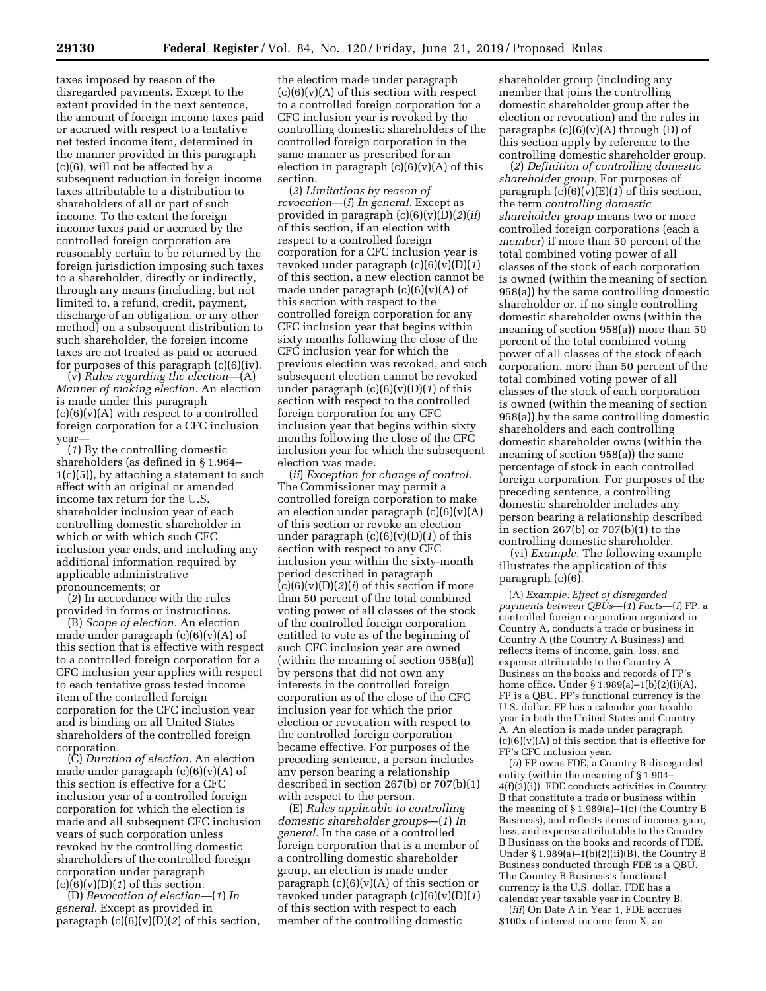taxes imposed by reason of the disregarded payments. Except to the extent provided in the next sentence, the amount of foreign income taxes paid or accrued with respect to a tentative net tested income item, determined in the manner provided in this paragraph (c)(6), will not be affected by a subsequent reduction in foreign income taxes attributable to a distribution to shareholders of all or part of such income. To the extent the foreign income taxes paid or accrued by the controlled foreign corporation are reasonably certain to be returned by the foreign jurisdiction imposing such taxes to a shareholder, directly or indirectly, through any means (including, but not limited to, a refund, credit, payment, discharge of an obligation, or any other method) on a subsequent distribution to such shareholder, the foreign income taxes are not treated as paid or accrued for purposes of this paragraph (c)(6)(iv).

(v) *Rules regarding the election*—(A) *Manner of making election.* An election is made under this paragraph  $(c)(6)(v)(A)$  with respect to a controlled foreign corporation for a CFC inclusion year—

(*1*) By the controlling domestic shareholders (as defined in § 1.964– 1(c)(5)), by attaching a statement to such effect with an original or amended income tax return for the U.S. shareholder inclusion year of each controlling domestic shareholder in which or with which such CFC inclusion year ends, and including any additional information required by applicable administrative pronouncements; or

(*2*) In accordance with the rules provided in forms or instructions.

(B) *Scope of election.* An election made under paragraph (c)(6)(v)(A) of this section that is effective with respect to a controlled foreign corporation for a CFC inclusion year applies with respect to each tentative gross tested income item of the controlled foreign corporation for the CFC inclusion year and is binding on all United States shareholders of the controlled foreign corporation.

(C) *Duration of election.* An election made under paragraph  $(c)(6)(v)(A)$  of this section is effective for a CFC inclusion year of a controlled foreign corporation for which the election is made and all subsequent CFC inclusion years of such corporation unless revoked by the controlling domestic shareholders of the controlled foreign corporation under paragraph  $(c)(6)(v)(D)(1)$  of this section.

(D) *Revocation of election*—(*1*) *In general.* Except as provided in paragraph (c)(6)(v)(D)(*2*) of this section,

the election made under paragraph  $(c)(6)(v)(A)$  of this section with respect to a controlled foreign corporation for a CFC inclusion year is revoked by the controlling domestic shareholders of the controlled foreign corporation in the same manner as prescribed for an election in paragraph  $(c)(6)(v)(A)$  of this section.

(*2*) *Limitations by reason of revocation*—(*i*) *In general.* Except as provided in paragraph (c)(6)(v)(D)(*2*)(*ii*) of this section, if an election with respect to a controlled foreign corporation for a CFC inclusion year is revoked under paragraph (c)(6)(v)(D)(*1*) of this section, a new election cannot be made under paragraph  $(c)(6)(v)(A)$  of this section with respect to the controlled foreign corporation for any CFC inclusion year that begins within sixty months following the close of the CFC inclusion year for which the previous election was revoked, and such subsequent election cannot be revoked under paragraph (c)(6)(v)(D)(*1*) of this section with respect to the controlled foreign corporation for any CFC inclusion year that begins within sixty months following the close of the CFC inclusion year for which the subsequent election was made.

(*ii*) *Exception for change of control.*  The Commissioner may permit a controlled foreign corporation to make an election under paragraph  $(c)(6)(v)(A)$ of this section or revoke an election under paragraph (c)(6)(v)(D)(*1*) of this section with respect to any CFC inclusion year within the sixty-month period described in paragraph (c)(6)(v)(D)(*2*)(*i*) of this section if more than 50 percent of the total combined voting power of all classes of the stock of the controlled foreign corporation entitled to vote as of the beginning of such CFC inclusion year are owned (within the meaning of section 958(a)) by persons that did not own any interests in the controlled foreign corporation as of the close of the CFC inclusion year for which the prior election or revocation with respect to the controlled foreign corporation became effective. For purposes of the preceding sentence, a person includes any person bearing a relationship described in section 267(b) or 707(b)(1) with respect to the person.

(E) *Rules applicable to controlling domestic shareholder groups*—(*1*) *In general.* In the case of a controlled foreign corporation that is a member of a controlling domestic shareholder group, an election is made under paragraph  $(c)(6)(v)(A)$  of this section or revoked under paragraph (c)(6)(v)(D)(*1*) of this section with respect to each member of the controlling domestic

shareholder group (including any member that joins the controlling domestic shareholder group after the election or revocation) and the rules in paragraphs  $(c)(6)(v)(A)$  through  $(D)$  of this section apply by reference to the controlling domestic shareholder group.

(*2*) *Definition of controlling domestic shareholder group.* For purposes of paragraph (c)(6)(v)(E)(*1*) of this section, the term *controlling domestic shareholder group* means two or more controlled foreign corporations (each a *member*) if more than 50 percent of the total combined voting power of all classes of the stock of each corporation is owned (within the meaning of section 958(a)) by the same controlling domestic shareholder or, if no single controlling domestic shareholder owns (within the meaning of section 958(a)) more than 50 percent of the total combined voting power of all classes of the stock of each corporation, more than 50 percent of the total combined voting power of all classes of the stock of each corporation is owned (within the meaning of section 958(a)) by the same controlling domestic shareholders and each controlling domestic shareholder owns (within the meaning of section 958(a)) the same percentage of stock in each controlled foreign corporation. For purposes of the preceding sentence, a controlling domestic shareholder includes any person bearing a relationship described in section 267(b) or  $707(b)(1)$  to the controlling domestic shareholder.

(vi) *Example.* The following example illustrates the application of this paragraph (c)(6).

(A) *Example: Effect of disregarded payments between QBUs*—(*1*) *Facts*—(*i*) FP, a controlled foreign corporation organized in Country A, conducts a trade or business in Country A (the Country A Business) and reflects items of income, gain, loss, and expense attributable to the Country A Business on the books and records of FP's home office. Under § 1.989(a)–1(b)(2)(i)(A), FP is a QBU. FP's functional currency is the U.S. dollar. FP has a calendar year taxable year in both the United States and Country A. An election is made under paragraph  $(c)(6)(v)(A)$  of this section that is effective for FP's CFC inclusion year.

(*ii*) FP owns FDE, a Country B disregarded entity (within the meaning of § 1.904– 4(f)(3)(i)). FDE conducts activities in Country B that constitute a trade or business within the meaning of § 1.989(a)–1(c) (the Country B Business), and reflects items of income, gain, loss, and expense attributable to the Country B Business on the books and records of FDE. Under  $\S 1.989(a)-1(b)(2)(ii)(B)$ , the Country B Business conducted through FDE is a QBU. The Country B Business's functional currency is the U.S. dollar. FDE has a calendar year taxable year in Country B.

(*iii*) On Date A in Year 1, FDE accrues \$100x of interest income from X, an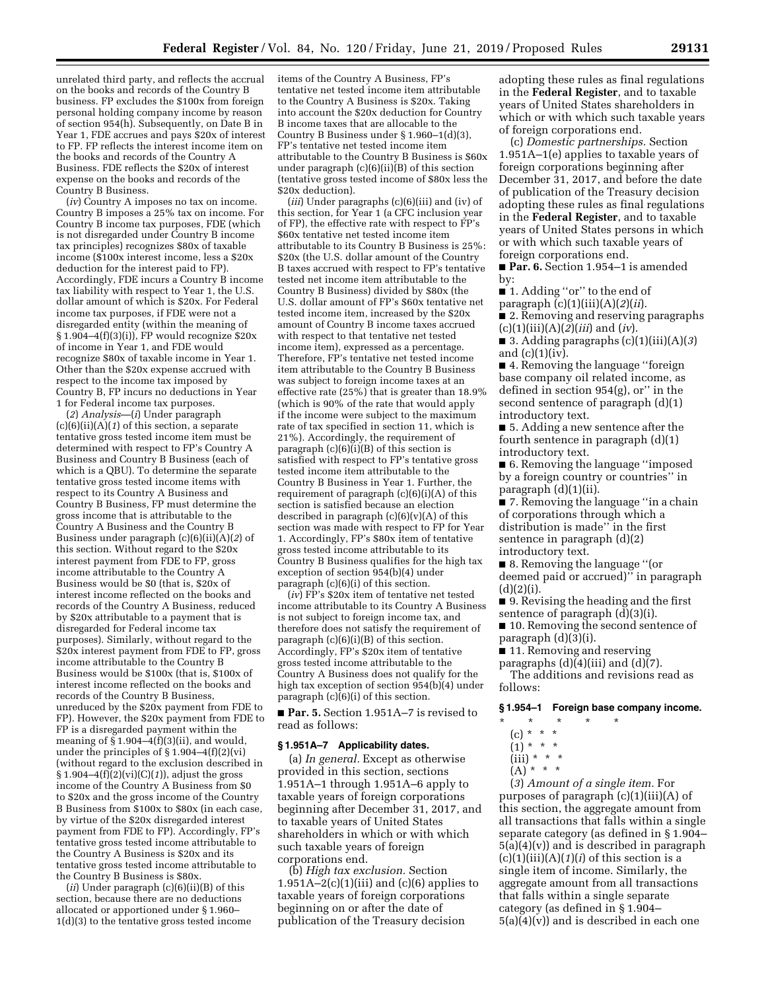unrelated third party, and reflects the accrual on the books and records of the Country B business. FP excludes the \$100x from foreign personal holding company income by reason of section 954(h). Subsequently, on Date B in Year 1, FDE accrues and pays \$20x of interest to FP. FP reflects the interest income item on the books and records of the Country A Business. FDE reflects the \$20x of interest expense on the books and records of the Country B Business.

(*iv*) Country A imposes no tax on income. Country B imposes a 25% tax on income. For Country B income tax purposes, FDE (which is not disregarded under Country B income tax principles) recognizes \$80x of taxable income (\$100x interest income, less a \$20x deduction for the interest paid to FP). Accordingly, FDE incurs a Country B income tax liability with respect to Year 1, the U.S. dollar amount of which is \$20x. For Federal income tax purposes, if FDE were not a disregarded entity (within the meaning of § 1.904–4(f)(3)(i)), FP would recognize \$20x of income in Year 1, and FDE would recognize \$80x of taxable income in Year 1. Other than the \$20x expense accrued with respect to the income tax imposed by Country B, FP incurs no deductions in Year 1 for Federal income tax purposes.

(*2*) *Analysis*—(*i*) Under paragraph  $(c)(6)(ii)(A)(1)$  of this section, a separate tentative gross tested income item must be determined with respect to FP's Country A Business and Country B Business (each of which is a QBU). To determine the separate tentative gross tested income items with respect to its Country A Business and Country B Business, FP must determine the gross income that is attributable to the Country A Business and the Country B Business under paragraph (c)(6)(ii)(A)(*2*) of this section. Without regard to the \$20x interest payment from FDE to FP, gross income attributable to the Country A Business would be \$0 (that is, \$20x of interest income reflected on the books and records of the Country A Business, reduced by \$20x attributable to a payment that is disregarded for Federal income tax purposes). Similarly, without regard to the \$20x interest payment from FDE to FP, gross income attributable to the Country B Business would be \$100x (that is, \$100x of interest income reflected on the books and records of the Country B Business, unreduced by the \$20x payment from FDE to FP). However, the \$20x payment from FDE to FP is a disregarded payment within the meaning of  $\S 1.904-4(f)(3)(ii)$ , and would, under the principles of  $\S 1.904-4(f)(2)(vi)$ (without regard to the exclusion described in § 1.904–4(f)(2)(vi)(C)(*1*)), adjust the gross income of the Country A Business from \$0 to \$20x and the gross income of the Country B Business from \$100x to \$80x (in each case, by virtue of the \$20x disregarded interest payment from FDE to FP). Accordingly, FP's tentative gross tested income attributable to the Country A Business is \$20x and its tentative gross tested income attributable to the Country B Business is \$80x.

(*ii*) Under paragraph (c)(6)(ii)(B) of this section, because there are no deductions allocated or apportioned under § 1.960– 1(d)(3) to the tentative gross tested income

items of the Country A Business, FP's tentative net tested income item attributable to the Country A Business is \$20x. Taking into account the \$20x deduction for Country B income taxes that are allocable to the Country B Business under § 1.960–1(d)(3), FP's tentative net tested income item attributable to the Country B Business is \$60x under paragraph  $(c)(6)(ii)(B)$  of this section (tentative gross tested income of \$80x less the \$20x deduction).

(*iii*) Under paragraphs (c)(6)(iii) and (iv) of this section, for Year 1 (a CFC inclusion year of FP), the effective rate with respect to FP's \$60x tentative net tested income item attributable to its Country B Business is 25%: \$20x (the U.S. dollar amount of the Country B taxes accrued with respect to FP's tentative tested net income item attributable to the Country B Business) divided by \$80x (the U.S. dollar amount of FP's \$60x tentative net tested income item, increased by the \$20x amount of Country B income taxes accrued with respect to that tentative net tested income item), expressed as a percentage. Therefore, FP's tentative net tested income item attributable to the Country B Business was subject to foreign income taxes at an effective rate (25%) that is greater than 18.9% (which is 90% of the rate that would apply if the income were subject to the maximum rate of tax specified in section 11, which is 21%). Accordingly, the requirement of paragraph  $(c)(6)(i)(B)$  of this section is satisfied with respect to FP's tentative gross tested income item attributable to the Country B Business in Year 1. Further, the requirement of paragraph  $(c)(6)(i)(A)$  of this section is satisfied because an election described in paragraph  $(c)(6)(v)(A)$  of this section was made with respect to FP for Year 1. Accordingly, FP's \$80x item of tentative gross tested income attributable to its Country B Business qualifies for the high tax exception of section 954(b)(4) under paragraph (c)(6)(i) of this section.

(*iv*) FP's \$20x item of tentative net tested income attributable to its Country A Business is not subject to foreign income tax, and therefore does not satisfy the requirement of paragraph (c)(6)(i)(B) of this section. Accordingly, FP's \$20x item of tentative gross tested income attributable to the Country A Business does not qualify for the high tax exception of section 954(b)(4) under paragraph  $(c)(6)(i)$  of this section.

■ **Par. 5.** Section 1.951A–7 is revised to read as follows:

#### **§ 1.951A–7 Applicability dates.**

(a) *In general.* Except as otherwise provided in this section, sections 1.951A–1 through 1.951A–6 apply to taxable years of foreign corporations beginning after December 31, 2017, and to taxable years of United States shareholders in which or with which such taxable years of foreign corporations end.

(b) *High tax exclusion.* Section 1.951A–2(c)(1)(iii) and (c)(6) applies to taxable years of foreign corporations beginning on or after the date of publication of the Treasury decision

adopting these rules as final regulations in the **Federal Register**, and to taxable years of United States shareholders in which or with which such taxable years of foreign corporations end.

(c) *Domestic partnerships.* Section 1.951A–1(e) applies to taxable years of foreign corporations beginning after December 31, 2017, and before the date of publication of the Treasury decision adopting these rules as final regulations in the **Federal Register**, and to taxable years of United States persons in which or with which such taxable years of foreign corporations end.

■ **Par. 6.** Section 1.954–1 is amended by:

■ 1. Adding "or" to the end of

paragraph (c)(1)(iii)(A)(*2*)(*ii*).

■ 2. Removing and reserving paragraphs (c)(1)(iii)(A)(*2*)(*iii*) and (*iv*).

■ 3. Adding paragraphs  $(c)(1)(iii)(A)(3)$ and  $(c)(1)(iv)$ .

■ 4. Removing the language "foreign base company oil related income, as defined in section 954(g), or'' in the second sentence of paragraph (d)(1) introductory text.

■ 5. Adding a new sentence after the fourth sentence in paragraph (d)(1) introductory text.

■ 6. Removing the language "imposed by a foreign country or countries'' in paragraph (d)(1)(ii).

■ 7. Removing the language "in a chain of corporations through which a distribution is made'' in the first sentence in paragraph (d)(2) introductory text.

■ 8. Removing the language "(or deemed paid or accrued)'' in paragraph  $(d)(2)(i).$ 

■ 9. Revising the heading and the first sentence of paragraph (d)(3)(i).

■ 10. Removing the second sentence of paragraph (d)(3)(i).

■ 11. Removing and reserving

paragraphs  $(d)(4)(iii)$  and  $(d)(7)$ . The additions and revisions read as follows:

#### **§ 1.954–1 Foreign base company income.**

\* \* \* \* \*

- $(c) * * * *$
- $(1) * * * *$
- $(iii) * * * *$
- $(A) * * * *$

(*3*) *Amount of a single item.* For purposes of paragraph (c)(1)(iii)(A) of this section, the aggregate amount from all transactions that falls within a single separate category (as defined in § 1.904–  $5(a)(4)(v)$  and is described in paragraph  $(c)(1)(iii)(A)(1)(i)$  of this section is a single item of income. Similarly, the aggregate amount from all transactions that falls within a single separate category (as defined in § 1.904–  $5(a)(4)(v)$  and is described in each one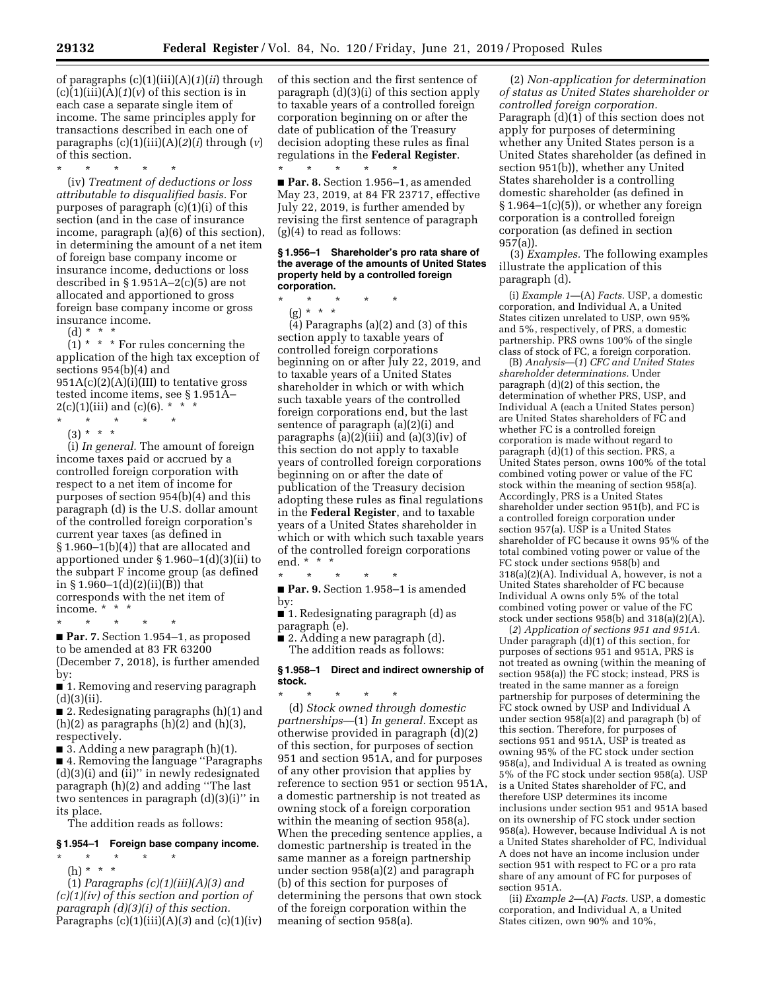of paragraphs (c)(1)(iii)(A)(*1*)(*ii*) through  $(c)(1)(iii)(A)(1)(v)$  of this section is in each case a separate single item of income. The same principles apply for transactions described in each one of paragraphs (c)(1)(iii)(A)(*2*)(*i*) through (*v*) of this section.

\* \* \* \* \* (iv) *Treatment of deductions or loss attributable to disqualified basis.* For purposes of paragraph (c)(1)(i) of this section (and in the case of insurance income, paragraph (a)(6) of this section), in determining the amount of a net item of foreign base company income or insurance income, deductions or loss described in § 1.951A–2(c)(5) are not allocated and apportioned to gross foreign base company income or gross insurance income.

(d) \* \* \*

 $(1)$  \* \* \* For rules concerning the application of the high tax exception of sections 954(b)(4) and  $951A(c)(2)(A)(i)(III)$  to tentative gross tested income items, see § 1.951A–  $2(c)(1)(iii)$  and  $(c)(6)$ . \* \*

\* \* \* \* \*  $(3) * * * *$ 

(i) *In general.* The amount of foreign income taxes paid or accrued by a controlled foreign corporation with respect to a net item of income for purposes of section 954(b)(4) and this paragraph (d) is the U.S. dollar amount of the controlled foreign corporation's current year taxes (as defined in § 1.960–1(b)(4)) that are allocated and apportioned under § 1.960–1(d)(3)(ii) to the subpart F income group (as defined in § 1.960–1(d)(2)(ii)( $\bar{B}$ )) that corresponds with the net item of income. \* \* \*

\* \* \* \* \* ■ **Par. 7.** Section 1.954–1, as proposed to be amended at 83 FR 63200 (December 7, 2018), is further amended by:

■ 1. Removing and reserving paragraph  $(d)(3)(ii)$ .

■ 2. Redesignating paragraphs (h)(1) and  $(h)(2)$  as paragraphs  $(h)(2)$  and  $(h)(3)$ , respectively.

■ 3. Adding a new paragraph (h)(1).

■ 4. Removing the language "Paragraphs (d)(3)(i) and (ii)'' in newly redesignated paragraph (h)(2) and adding ''The last two sentences in paragraph (d)(3)(i)'' in its place.

The addition reads as follows:

### **§ 1.954–1 Foreign base company income.**

\* \* \* \* \* (h) \* \* \*

(1) *Paragraphs (c)(1)(iii)(A)(3) and (c)(1)(iv) of this section and portion of paragraph (d)(3)(i) of this section.*  Paragraphs  $(c)(1)(iii)(A)(3)$  and  $(c)(1)(iv)$  of this section and the first sentence of paragraph (d)(3)(i) of this section apply to taxable years of a controlled foreign corporation beginning on or after the date of publication of the Treasury decision adopting these rules as final regulations in the **Federal Register**. \* \* \* \* \*

■ **Par. 8.** Section 1.956–1, as amended May 23, 2019, at 84 FR 23717, effective July 22, 2019, is further amended by revising the first sentence of paragraph (g)(4) to read as follows:

#### **§ 1.956–1 Shareholder's pro rata share of the average of the amounts of United States property held by a controlled foreign corporation.**

\* \* \* \* \* (g) \* \* \*

 $(4)$  Paragraphs  $(a)(2)$  and  $(3)$  of this section apply to taxable years of controlled foreign corporations beginning on or after July 22, 2019, and to taxable years of a United States shareholder in which or with which such taxable years of the controlled foreign corporations end, but the last sentence of paragraph (a)(2)(i) and paragraphs (a)(2)(iii) and (a)(3)(iv) of this section do not apply to taxable years of controlled foreign corporations beginning on or after the date of publication of the Treasury decision adopting these rules as final regulations in the **Federal Register**, and to taxable years of a United States shareholder in which or with which such taxable years of the controlled foreign corporations end. \* \* \*

\* \* \* \* \* ■ **Par. 9.** Section 1.958-1 is amended by:

■ 1. Redesignating paragraph (d) as paragraph (e).

■ 2. Adding a new paragraph (d). The addition reads as follows:

### **§ 1.958–1 Direct and indirect ownership of stock.**

\* \* \* \* \* (d) *Stock owned through domestic partnerships*—(1) *In general.* Except as otherwise provided in paragraph (d)(2) of this section, for purposes of section 951 and section 951A, and for purposes of any other provision that applies by reference to section 951 or section 951A, a domestic partnership is not treated as owning stock of a foreign corporation within the meaning of section 958(a). When the preceding sentence applies, a domestic partnership is treated in the same manner as a foreign partnership under section 958(a)(2) and paragraph (b) of this section for purposes of determining the persons that own stock of the foreign corporation within the meaning of section 958(a).

(2) *Non-application for determination of status as United States shareholder or controlled foreign corporation.*  Paragraph (d)(1) of this section does not apply for purposes of determining whether any United States person is a United States shareholder (as defined in section 951(b)), whether any United States shareholder is a controlling domestic shareholder (as defined in  $§ 1.964-1(c)(5)$ , or whether any foreign corporation is a controlled foreign corporation (as defined in section 957(a)).

(3) *Examples.* The following examples illustrate the application of this paragraph (d).

(i) *Example 1*—(A) *Facts.* USP, a domestic corporation, and Individual A, a United States citizen unrelated to USP, own 95% and 5%, respectively, of PRS, a domestic partnership. PRS owns 100% of the single class of stock of FC, a foreign corporation.

(B) *Analysis*—(*1*) *CFC and United States shareholder determinations.* Under paragraph (d)(2) of this section, the determination of whether PRS, USP, and Individual A (each a United States person) are United States shareholders of FC and whether FC is a controlled foreign corporation is made without regard to paragraph (d)(1) of this section. PRS, a United States person, owns 100% of the total combined voting power or value of the FC stock within the meaning of section 958(a). Accordingly, PRS is a United States shareholder under section 951(b), and FC is a controlled foreign corporation under section 957(a). USP is a United States shareholder of FC because it owns 95% of the total combined voting power or value of the FC stock under sections 958(b) and 318(a)(2)(A). Individual A, however, is not a United States shareholder of FC because Individual A owns only 5% of the total combined voting power or value of the FC stock under sections 958(b) and 318(a)(2)(A).

(*2*) *Application of sections 951 and 951A.*  Under paragraph (d)(1) of this section, for purposes of sections 951 and 951A, PRS is not treated as owning (within the meaning of section 958(a)) the FC stock; instead, PRS is treated in the same manner as a foreign partnership for purposes of determining the FC stock owned by USP and Individual A under section 958(a)(2) and paragraph (b) of this section. Therefore, for purposes of sections 951 and 951A, USP is treated as owning 95% of the FC stock under section 958(a), and Individual A is treated as owning 5% of the FC stock under section 958(a). USP is a United States shareholder of FC, and therefore USP determines its income inclusions under section 951 and 951A based on its ownership of FC stock under section 958(a). However, because Individual A is not a United States shareholder of FC, Individual A does not have an income inclusion under section 951 with respect to FC or a pro rata share of any amount of FC for purposes of section 951A.

(ii) *Example 2*—(A) *Facts.* USP, a domestic corporation, and Individual A, a United States citizen, own 90% and 10%,